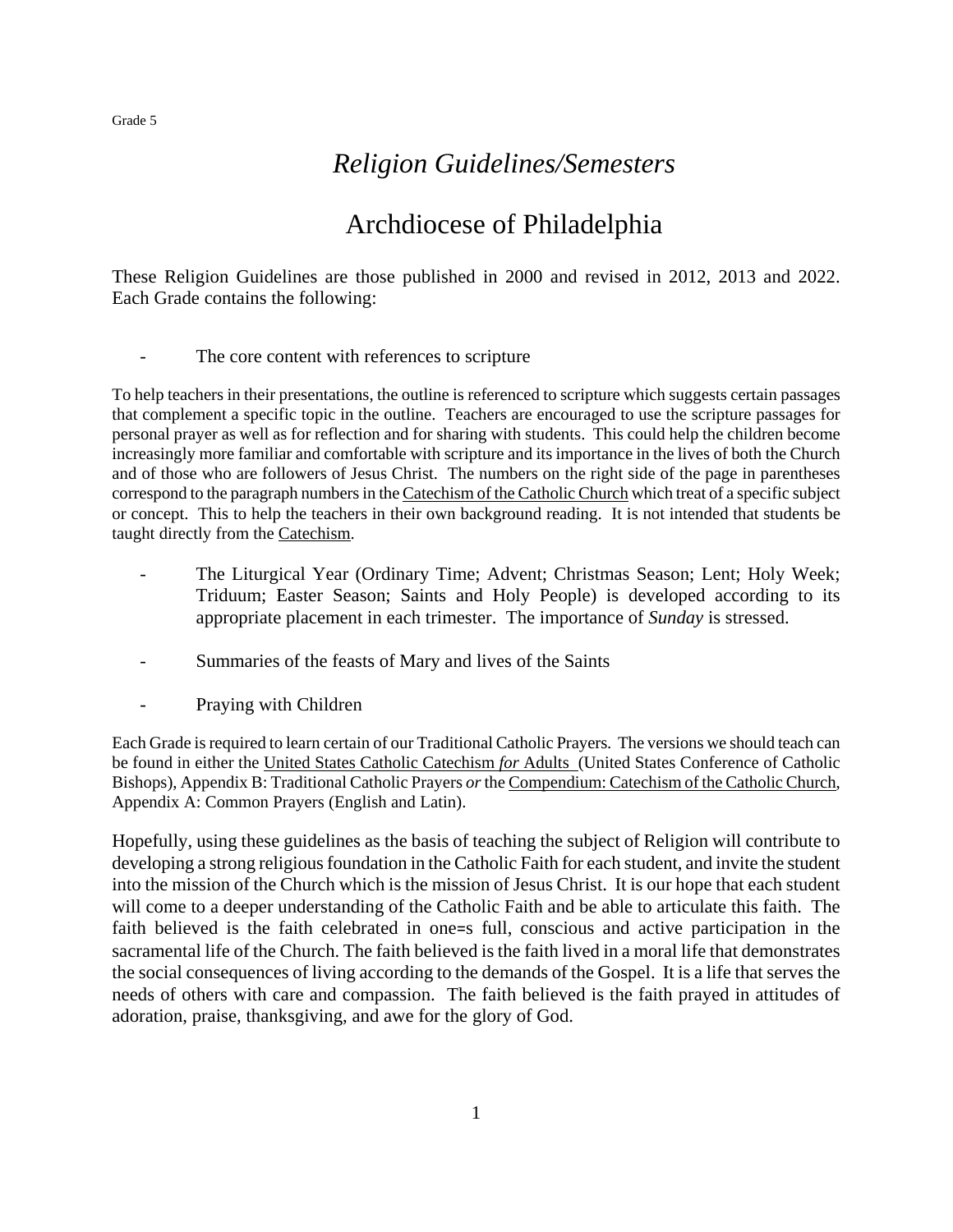## *Religion Guidelines/Semesters*

## Archdiocese of Philadelphia

These Religion Guidelines are those published in 2000 and revised in 2012, 2013 and 2022. Each Grade contains the following:

- The core content with references to scripture

To help teachers in their presentations, the outline is referenced to scripture which suggests certain passages that complement a specific topic in the outline. Teachers are encouraged to use the scripture passages for personal prayer as well as for reflection and for sharing with students. This could help the children become increasingly more familiar and comfortable with scripture and its importance in the lives of both the Church and of those who are followers of Jesus Christ. The numbers on the right side of the page in parentheses correspond to the paragraph numbers in the Catechism of the Catholic Church which treat of a specific subject or concept. This to help the teachers in their own background reading. It is not intended that students be taught directly from the Catechism.

- The Liturgical Year (Ordinary Time; Advent; Christmas Season; Lent; Holy Week; Triduum; Easter Season; Saints and Holy People) is developed according to its appropriate placement in each trimester. The importance of *Sunday* is stressed.
- Summaries of the feasts of Mary and lives of the Saints
- Praying with Children

Each Grade is required to learn certain of our Traditional Catholic Prayers. The versions we should teach can be found in either the United States Catholic Catechism *for* Adults (United States Conference of Catholic Bishops), Appendix B: Traditional Catholic Prayers *or* the Compendium: Catechism of the Catholic Church, Appendix A: Common Prayers (English and Latin).

Hopefully, using these guidelines as the basis of teaching the subject of Religion will contribute to developing a strong religious foundation in the Catholic Faith for each student, and invite the student into the mission of the Church which is the mission of Jesus Christ. It is our hope that each student will come to a deeper understanding of the Catholic Faith and be able to articulate this faith. The faith believed is the faith celebrated in one=s full, conscious and active participation in the sacramental life of the Church. The faith believed is the faith lived in a moral life that demonstrates the social consequences of living according to the demands of the Gospel. It is a life that serves the needs of others with care and compassion. The faith believed is the faith prayed in attitudes of adoration, praise, thanksgiving, and awe for the glory of God.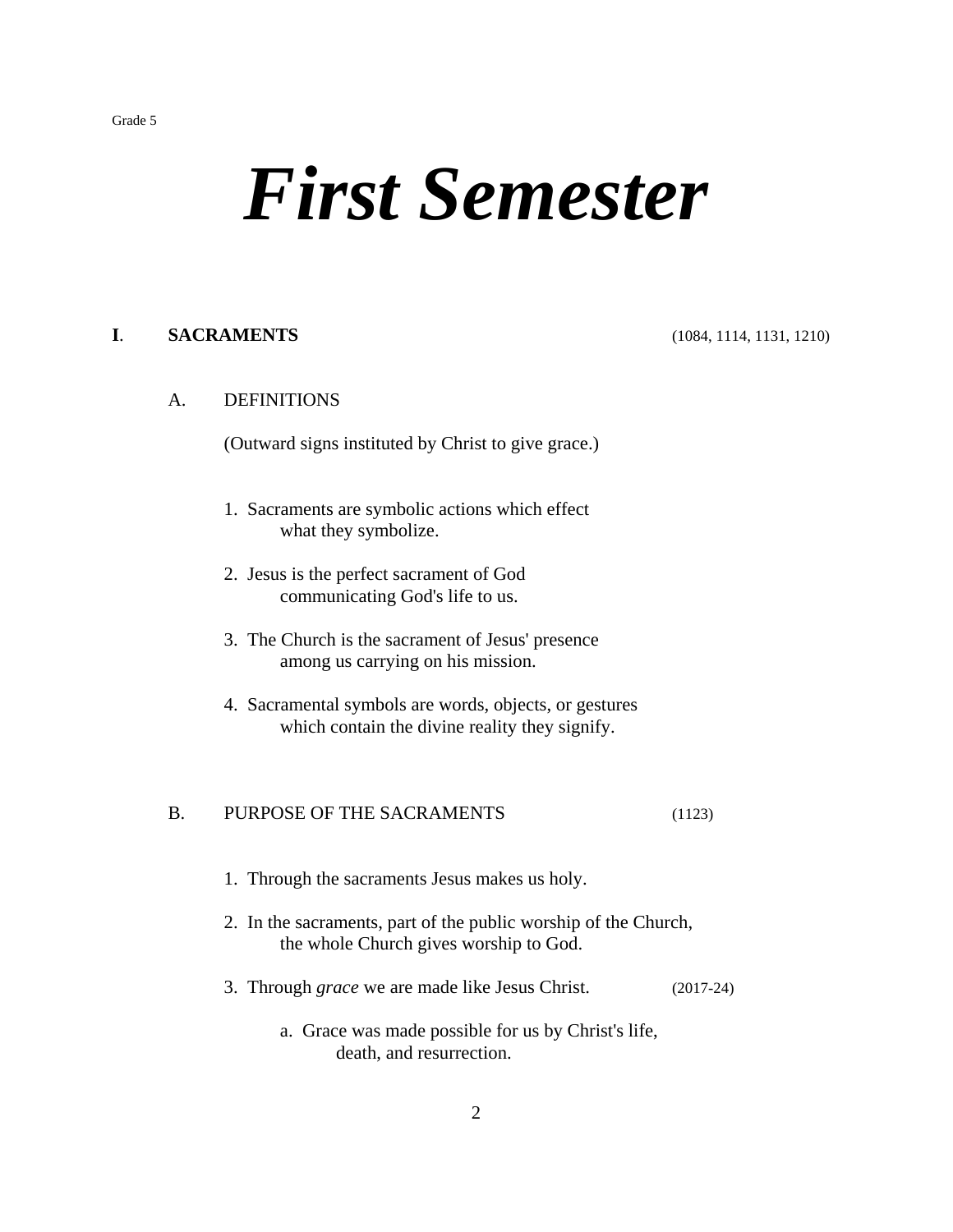# *First Semester*

## **I**. **SACRAMENTS** (1084, 1114, 1131, 1210)

## A. DEFINITIONS

(Outward signs instituted by Christ to give grace.)

- 1. Sacraments are symbolic actions which effect what they symbolize.
- 2. Jesus is the perfect sacrament of God communicating God's life to us.
- 3. The Church is the sacrament of Jesus' presence among us carrying on his mission.
- 4. Sacramental symbols are words, objects, or gestures which contain the divine reality they signify.

## B. PURPOSE OF THE SACRAMENTS (1123)

- 1. Through the sacraments Jesus makes us holy.
- 2. In the sacraments, part of the public worship of the Church, the whole Church gives worship to God.
- 3. Through *grace* we are made like Jesus Christ. (2017-24)
	- a. Grace was made possible for us by Christ's life, death, and resurrection.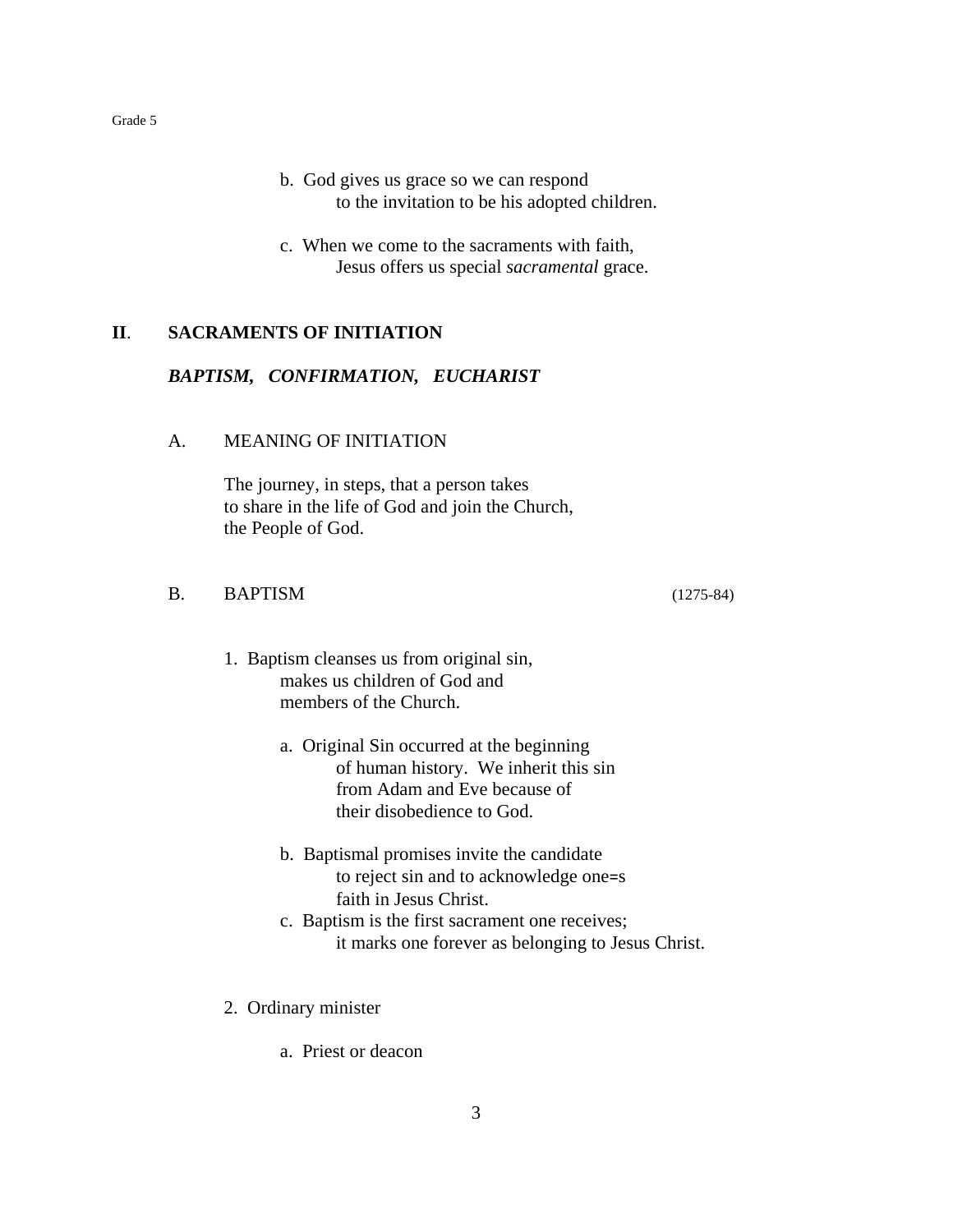- b. God gives us grace so we can respond to the invitation to be his adopted children.
- c. When we come to the sacraments with faith, Jesus offers us special *sacramental* grace.

## **II**. **SACRAMENTS OF INITIATION**

## *BAPTISM, CONFIRMATION, EUCHARIST*

#### A. MEANING OF INITIATION

The journey, in steps, that a person takes to share in the life of God and join the Church, the People of God.

## B. BAPTISM (1275-84)

- 1. Baptism cleanses us from original sin, makes us children of God and members of the Church.
	- a. Original Sin occurred at the beginning of human history. We inherit this sin from Adam and Eve because of their disobedience to God.
	- b. Baptismal promises invite the candidate to reject sin and to acknowledge one=s faith in Jesus Christ.
	- c. Baptism is the first sacrament one receives; it marks one forever as belonging to Jesus Christ.
- 2. Ordinary minister
	- a. Priest or deacon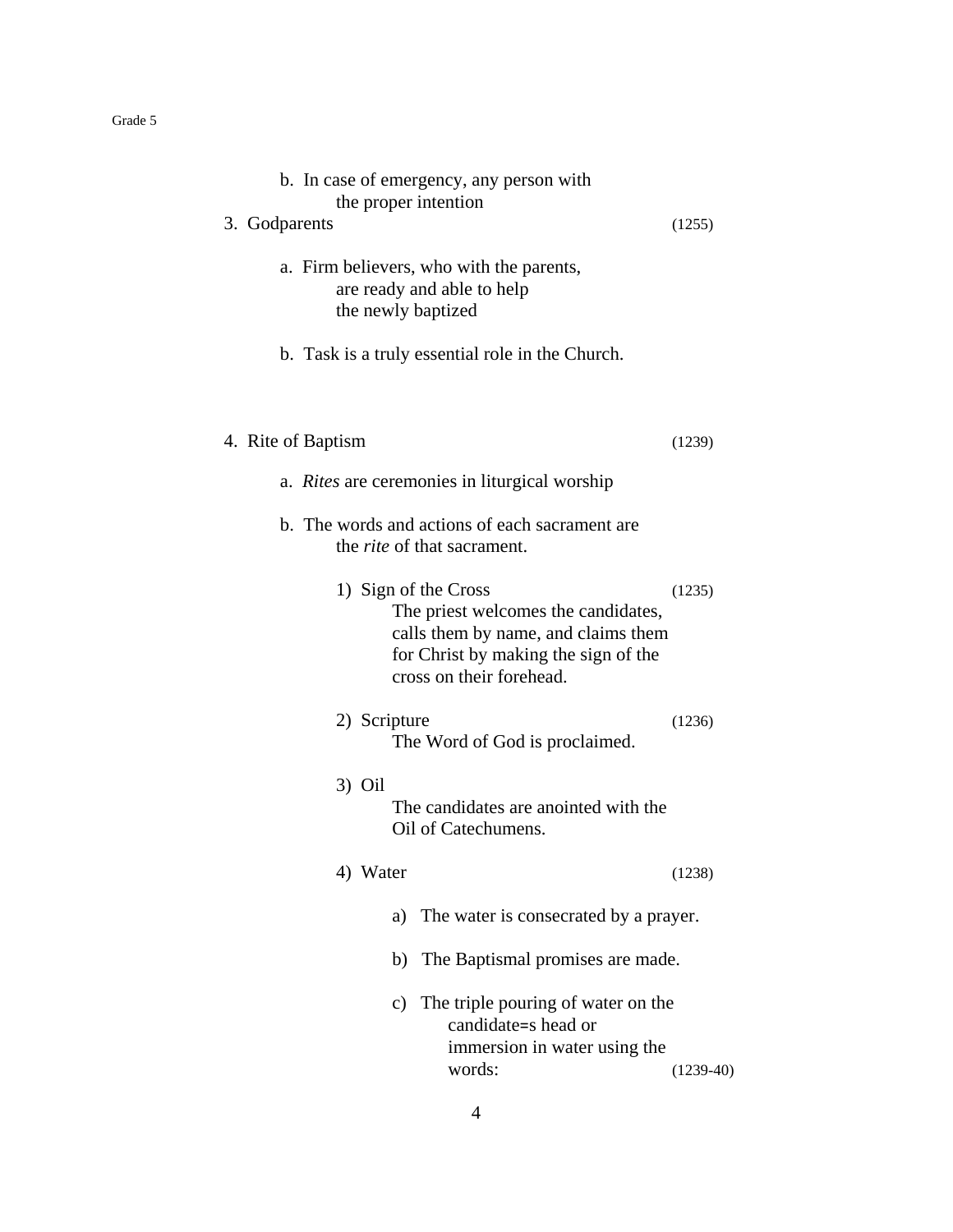|               |                    | b. In case of emergency, any person with<br>the proper intention                                                                                                       |             |
|---------------|--------------------|------------------------------------------------------------------------------------------------------------------------------------------------------------------------|-------------|
| 3. Godparents |                    |                                                                                                                                                                        | (1255)      |
|               |                    | a. Firm believers, who with the parents,<br>are ready and able to help<br>the newly baptized                                                                           |             |
|               |                    | b. Task is a truly essential role in the Church.                                                                                                                       |             |
|               | 4. Rite of Baptism |                                                                                                                                                                        | (1239)      |
|               |                    | a. <i>Rites</i> are ceremonies in liturgical worship                                                                                                                   |             |
|               |                    | b. The words and actions of each sacrament are<br>the <i>rite</i> of that sacrament.                                                                                   |             |
|               |                    | 1) Sign of the Cross<br>The priest welcomes the candidates,<br>calls them by name, and claims them<br>for Christ by making the sign of the<br>cross on their forehead. | (1235)      |
|               | 2) Scripture       | The Word of God is proclaimed.                                                                                                                                         | (1236)      |
|               | $3)$ Oil           | The candidates are anointed with the<br>Oil of Catechumens.                                                                                                            |             |
|               | 4) Water           |                                                                                                                                                                        | (1238)      |
|               |                    | The water is consecrated by a prayer.<br>a)                                                                                                                            |             |
|               |                    | The Baptismal promises are made.<br>b)                                                                                                                                 |             |
|               |                    | The triple pouring of water on the<br>$\mathbf{c})$<br>candidate=s head or<br>immersion in water using the<br>words:                                                   | $(1239-40)$ |

4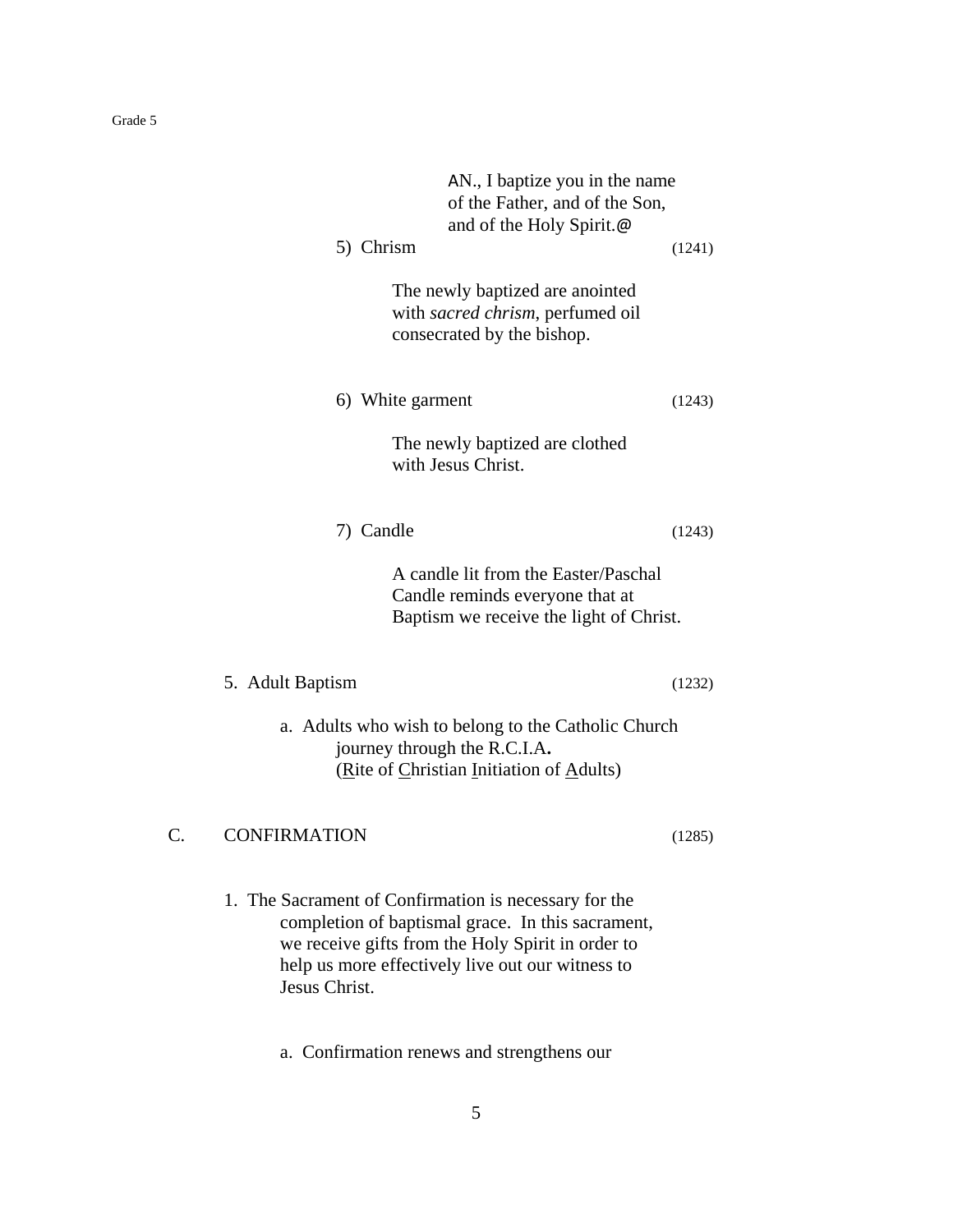|    | AN., I baptize you in the name<br>of the Father, and of the Son,<br>and of the Holy Spirit.@<br>5) Chrism                                                                                                                            | (1241) |
|----|--------------------------------------------------------------------------------------------------------------------------------------------------------------------------------------------------------------------------------------|--------|
|    | The newly baptized are anointed<br>with sacred chrism, perfumed oil<br>consecrated by the bishop.                                                                                                                                    |        |
|    | 6) White garment                                                                                                                                                                                                                     | (1243) |
|    | The newly baptized are clothed<br>with Jesus Christ.                                                                                                                                                                                 |        |
|    | 7) Candle                                                                                                                                                                                                                            | (1243) |
|    | A candle lit from the Easter/Paschal<br>Candle reminds everyone that at<br>Baptism we receive the light of Christ.                                                                                                                   |        |
|    | 5. Adult Baptism                                                                                                                                                                                                                     | (1232) |
|    | a. Adults who wish to belong to the Catholic Church<br>journey through the R.C.I.A.<br>(Rite of Christian Initiation of Adults)                                                                                                      |        |
| C. | <b>CONFIRMATION</b>                                                                                                                                                                                                                  | (1285) |
|    | 1. The Sacrament of Confirmation is necessary for the<br>completion of baptismal grace. In this sacrament,<br>we receive gifts from the Holy Spirit in order to<br>help us more effectively live out our witness to<br>Jesus Christ. |        |

a. Confirmation renews and strengthens our

5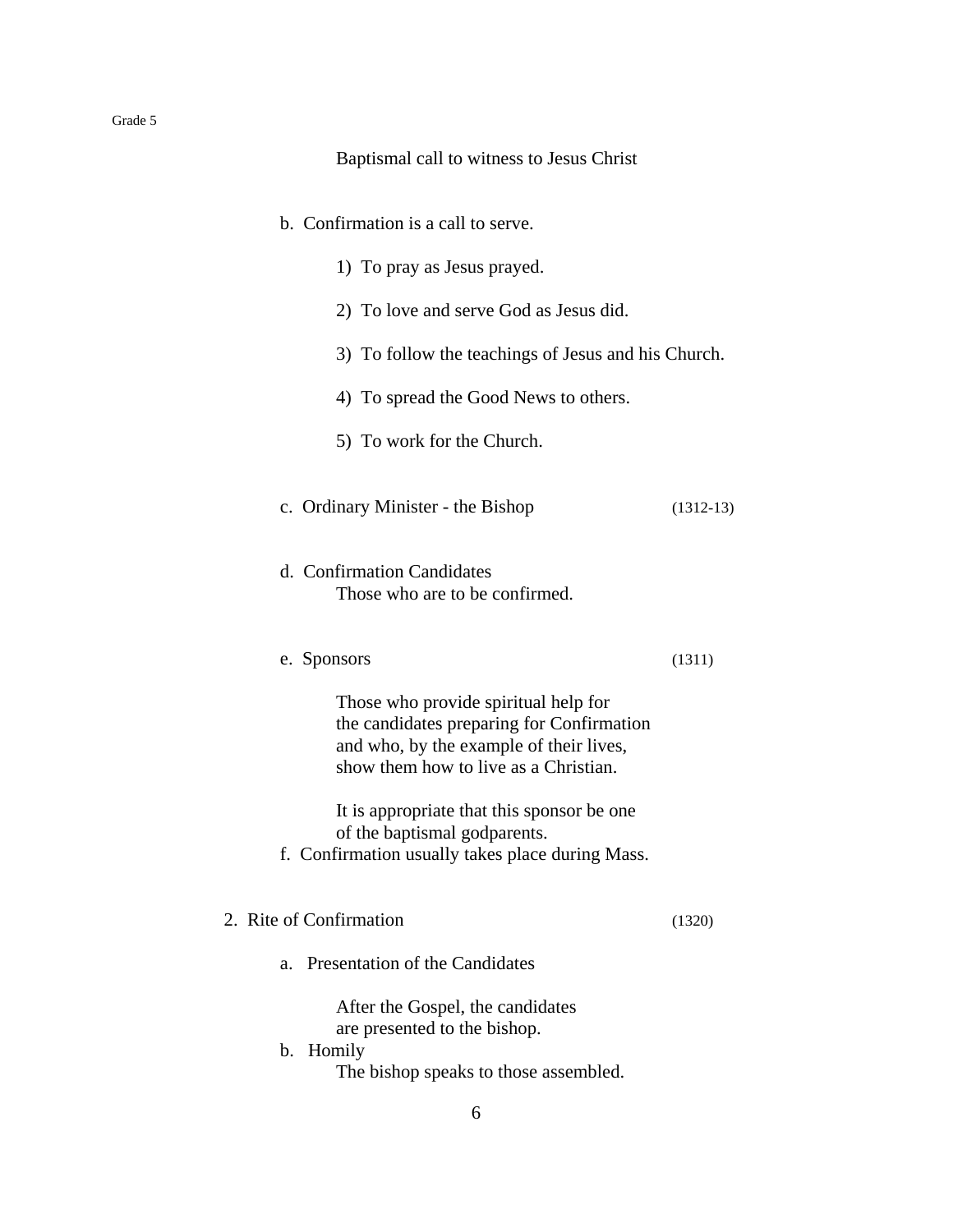#### Baptismal call to witness to Jesus Christ

| b. Confirmation is a call to serve. |  |  |  |
|-------------------------------------|--|--|--|
|-------------------------------------|--|--|--|

- 1) To pray as Jesus prayed.
- 2) To love and serve God as Jesus did.
- 3) To follow the teachings of Jesus and his Church.
- 4) To spread the Good News to others.
- 5) To work for the Church.
- c. Ordinary Minister the Bishop (1312-13)
- d. Confirmation Candidates Those who are to be confirmed.
- e. Sponsors (1311)

Those who provide spiritual help for the candidates preparing for Confirmation and who, by the example of their lives, show them how to live as a Christian.

It is appropriate that this sponsor be one of the baptismal godparents.

- f. Confirmation usually takes place during Mass.
- 2. Rite of Confirmation (1320)
	- a. Presentation of the Candidates

After the Gospel, the candidates are presented to the bishop.

b. Homily The bishop speaks to those assembled.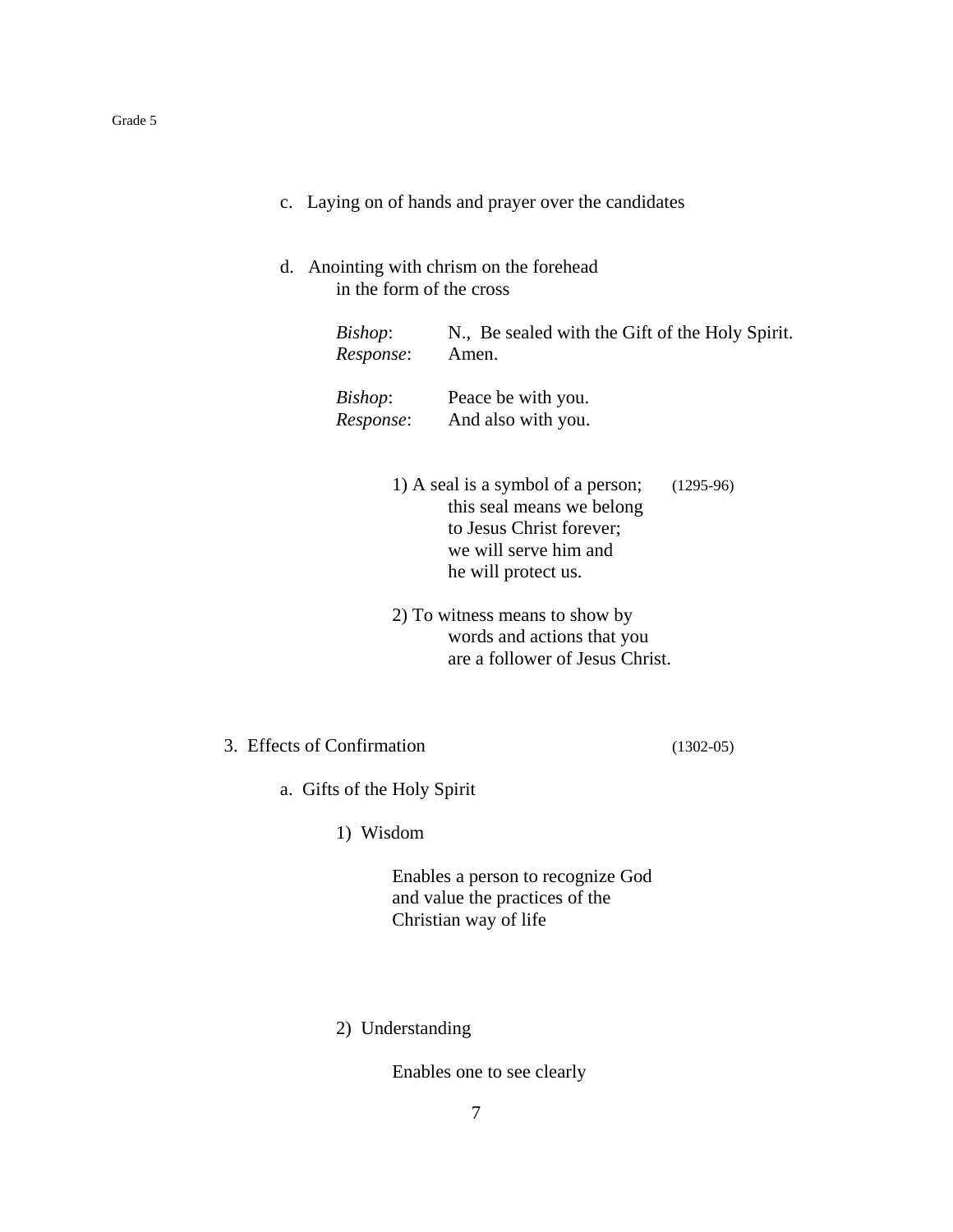- c. Laying on of hands and prayer over the candidates
- d. Anointing with chrism on the forehead in the form of the cross

| Bishop:   | N., Be sealed with the Gift of the Holy Spirit. |
|-----------|-------------------------------------------------|
| Response: | Amen.                                           |
| Bishop:   | Peace be with you.                              |
| Response: | And also with you.                              |

- 1) A seal is a symbol of a person; (1295-96) this seal means we belong to Jesus Christ forever; we will serve him and he will protect us.
	- 2) To witness means to show by words and actions that you are a follower of Jesus Christ.
- 3. Effects of Confirmation (1302-05)

a. Gifts of the Holy Spirit

1) Wisdom

Enables a person to recognize God and value the practices of the Christian way of life

2) Understanding

Enables one to see clearly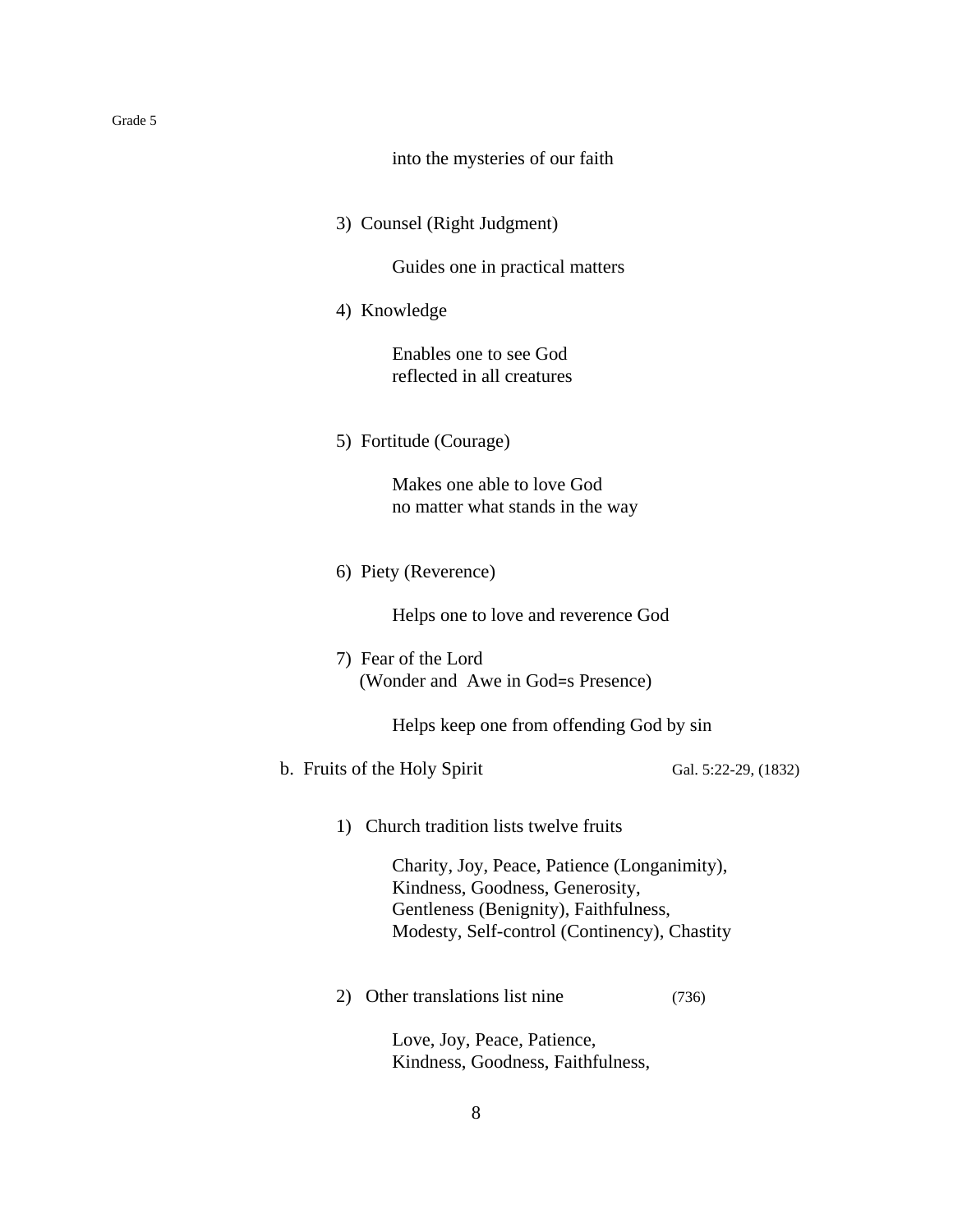|  | into the mysteries of our faith |  |  |
|--|---------------------------------|--|--|
|  |                                 |  |  |
|  |                                 |  |  |

3) Counsel (Right Judgment)

Guides one in practical matters

4) Knowledge

Enables one to see God reflected in all creatures

5) Fortitude (Courage)

Makes one able to love God no matter what stands in the way

6) Piety (Reverence)

Helps one to love and reverence God

7) Fear of the Lord (Wonder and Awe in God=s Presence)

Helps keep one from offending God by sin

b. Fruits of the Holy Spirit Gal. 5:22-29, (1832)

1) Church tradition lists twelve fruits

Charity, Joy, Peace, Patience (Longanimity), Kindness, Goodness, Generosity, Gentleness (Benignity), Faithfulness, Modesty, Self-control (Continency), Chastity

2) Other translations list nine (736)

Love, Joy, Peace, Patience, Kindness, Goodness, Faithfulness,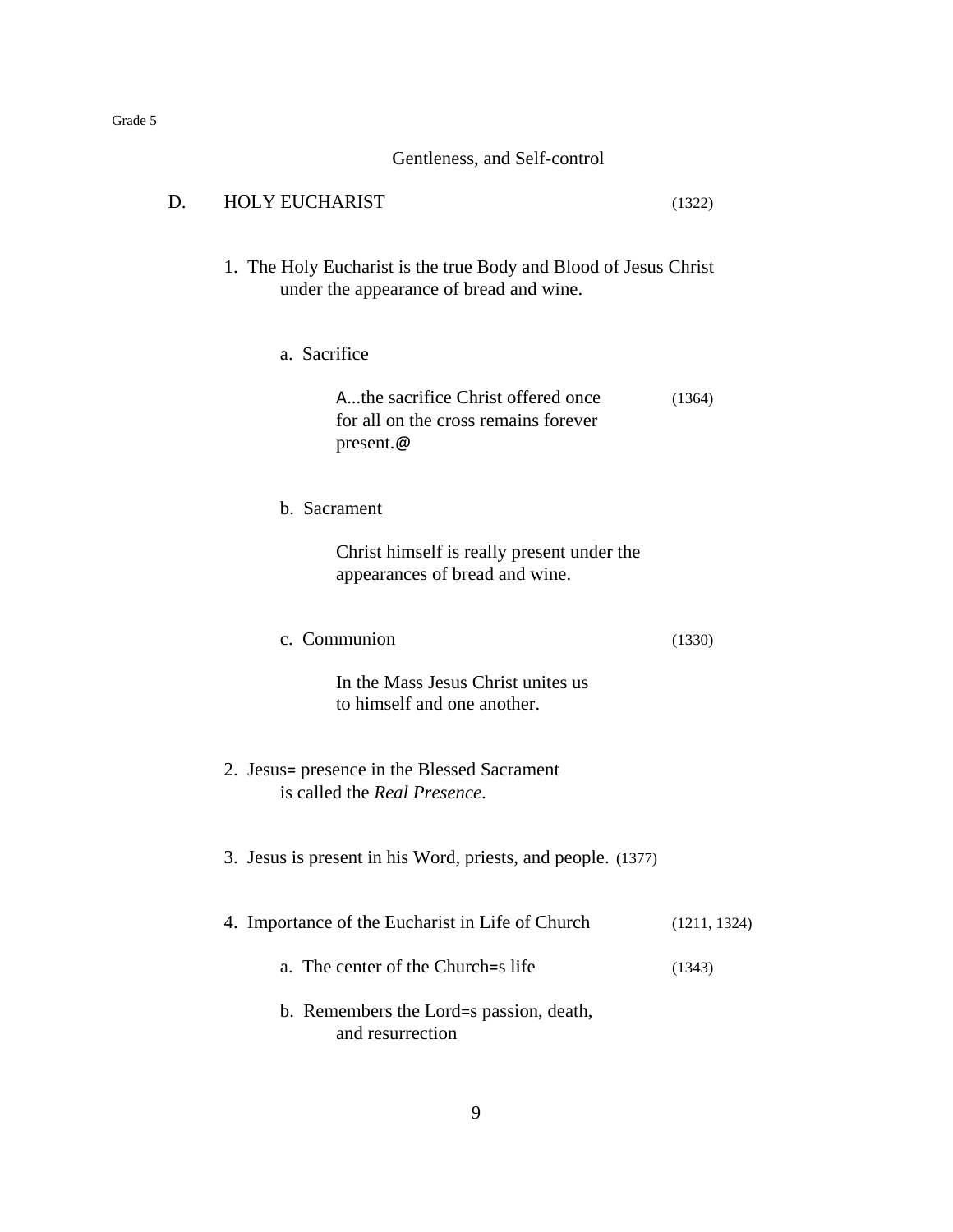|    | Gentleness, and Self-control                                                                                |              |
|----|-------------------------------------------------------------------------------------------------------------|--------------|
| D. | <b>HOLY EUCHARIST</b>                                                                                       | (1322)       |
|    | 1. The Holy Eucharist is the true Body and Blood of Jesus Christ<br>under the appearance of bread and wine. |              |
|    | a. Sacrifice                                                                                                |              |
|    | Athe sacrifice Christ offered once<br>for all on the cross remains forever<br>present.@                     | (1364)       |
|    | b. Sacrament                                                                                                |              |
|    | Christ himself is really present under the<br>appearances of bread and wine.                                |              |
|    | c. Communion                                                                                                | (1330)       |
|    | In the Mass Jesus Christ unites us<br>to himself and one another.                                           |              |
|    | 2. Jesus= presence in the Blessed Sacrament<br>is called the Real Presence.                                 |              |
|    | 3. Jesus is present in his Word, priests, and people. (1377)                                                |              |
|    | 4. Importance of the Eucharist in Life of Church                                                            | (1211, 1324) |
|    | a. The center of the Church=s life                                                                          | (1343)       |
|    | b. Remembers the Lord=s passion, death,<br>and resurrection                                                 |              |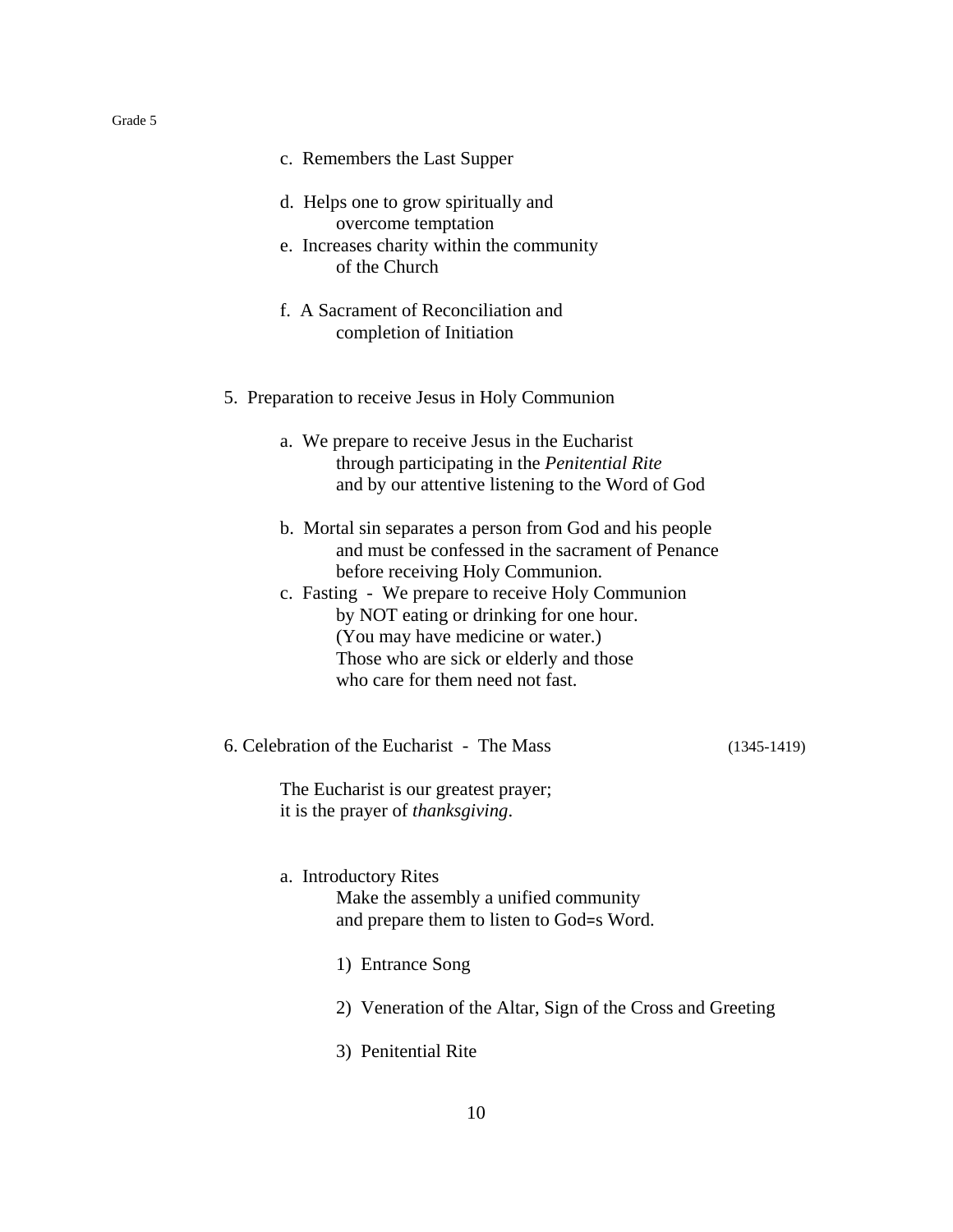| c. Remembers the Last Supper                                                                                                                                                                                                                         |                 |
|------------------------------------------------------------------------------------------------------------------------------------------------------------------------------------------------------------------------------------------------------|-----------------|
| d. Helps one to grow spiritually and<br>overcome temptation<br>e. Increases charity within the community<br>of the Church                                                                                                                            |                 |
| f. A Sacrament of Reconciliation and<br>completion of Initiation                                                                                                                                                                                     |                 |
| 5. Preparation to receive Jesus in Holy Communion                                                                                                                                                                                                    |                 |
| a. We prepare to receive Jesus in the Eucharist<br>through participating in the Penitential Rite<br>and by our attentive listening to the Word of God                                                                                                |                 |
| b. Mortal sin separates a person from God and his people<br>and must be confessed in the sacrament of Penance                                                                                                                                        |                 |
| before receiving Holy Communion.<br>c. Fasting - We prepare to receive Holy Communion<br>by NOT eating or drinking for one hour.<br>(You may have medicine or water.)<br>Those who are sick or elderly and those<br>who care for them need not fast. |                 |
| 6. Celebration of the Eucharist - The Mass                                                                                                                                                                                                           | $(1345 - 1419)$ |
| The Eucharist is our greatest prayer;<br>it is the prayer of <i>thanksgiving</i> .                                                                                                                                                                   |                 |
| a. Introductory Rites<br>Make the assembly a unified community<br>and prepare them to listen to God=s Word.                                                                                                                                          |                 |
| 1) Entrance Song                                                                                                                                                                                                                                     |                 |
| 2) Veneration of the Altar, Sign of the Cross and Greeting                                                                                                                                                                                           |                 |
| 3) Penitential Rite                                                                                                                                                                                                                                  |                 |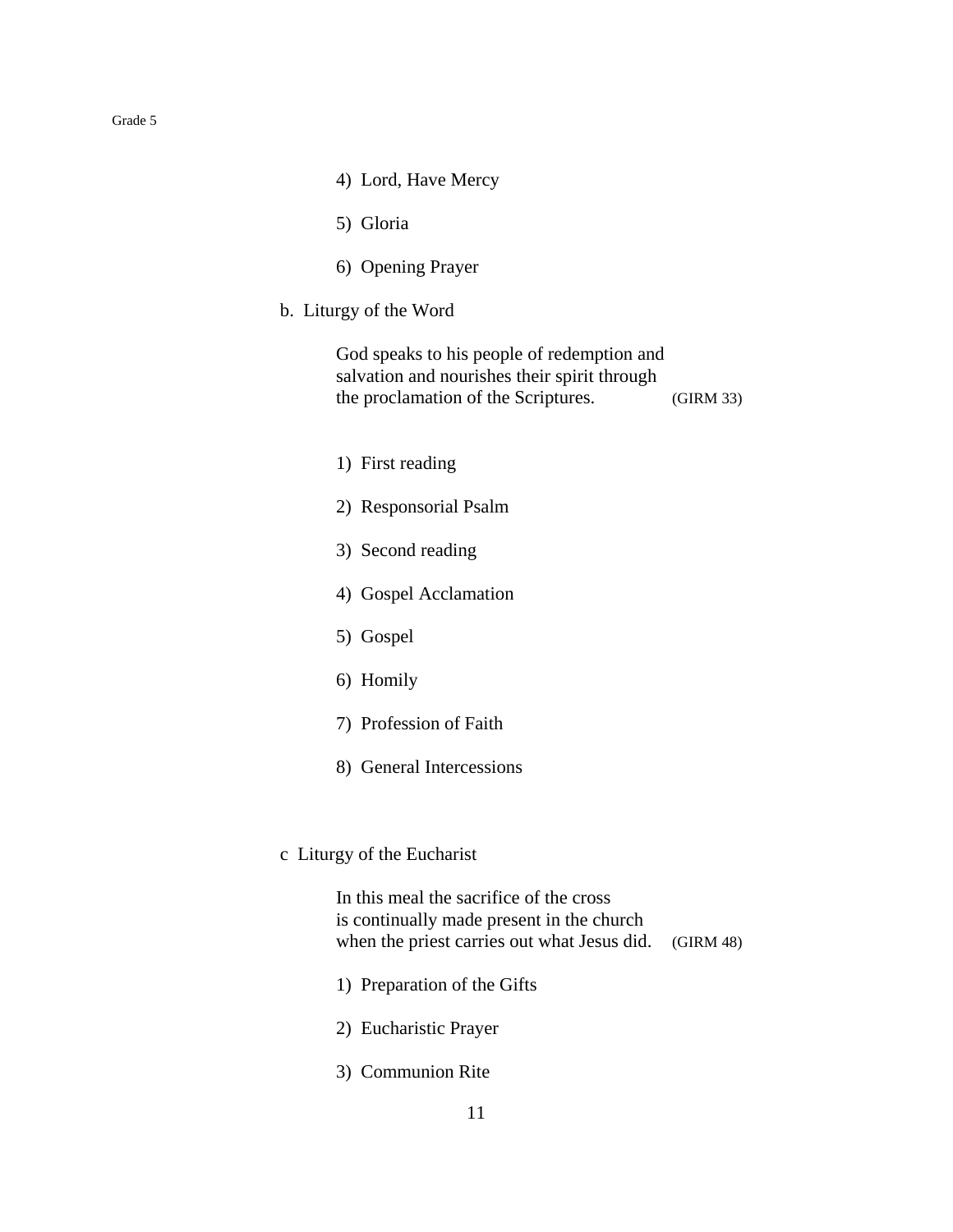| 4) Lord, Have Mercy                                                                                                                 |           |
|-------------------------------------------------------------------------------------------------------------------------------------|-----------|
| 5) Gloria                                                                                                                           |           |
| 6) Opening Prayer                                                                                                                   |           |
| b. Liturgy of the Word                                                                                                              |           |
| God speaks to his people of redemption and<br>salvation and nourishes their spirit through<br>the proclamation of the Scriptures.   | (GIRM 33) |
| 1) First reading                                                                                                                    |           |
| 2) Responsorial Psalm                                                                                                               |           |
| 3) Second reading                                                                                                                   |           |
| 4) Gospel Acclamation                                                                                                               |           |
| 5) Gospel                                                                                                                           |           |
| 6) Homily                                                                                                                           |           |
| 7) Profession of Faith                                                                                                              |           |
| 8) General Intercessions                                                                                                            |           |
|                                                                                                                                     |           |
| c Liturgy of the Eucharist                                                                                                          |           |
| In this meal the sacrifice of the cross<br>is continually made present in the church<br>when the priest carries out what Jesus did. | (GIRM 48) |
| 1) Preparation of the Gifts                                                                                                         |           |
| 2) Eucharistic Prayer                                                                                                               |           |
|                                                                                                                                     |           |

3) Communion Rite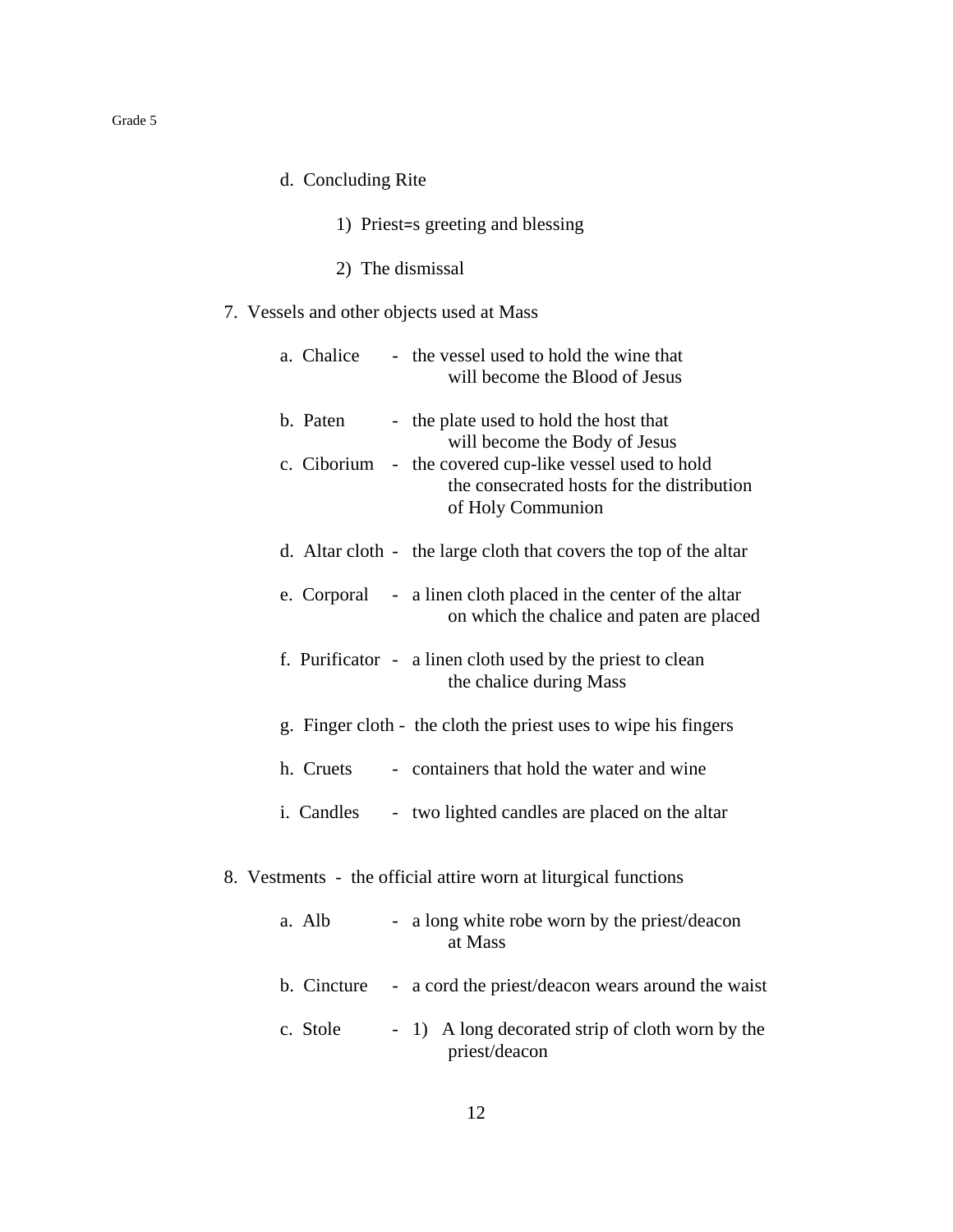- d. Concluding Rite
	- 1) Priest=s greeting and blessing
	- 2) The dismissal

## 7. Vessels and other objects used at Mass

|  | a. Chalice  | - the vessel used to hold the wine that<br>will become the Blood of Jesus                                                                                                                                                                                                                                                          |
|--|-------------|------------------------------------------------------------------------------------------------------------------------------------------------------------------------------------------------------------------------------------------------------------------------------------------------------------------------------------|
|  | b. Paten    | - the plate used to hold the host that<br>will become the Body of Jesus                                                                                                                                                                                                                                                            |
|  |             | c. Ciborium - the covered cup-like vessel used to hold<br>the consecrated hosts for the distribution<br>of Holy Communion                                                                                                                                                                                                          |
|  |             | d. Altar cloth - the large cloth that covers the top of the altar                                                                                                                                                                                                                                                                  |
|  |             | e. Corporal - a linen cloth placed in the center of the altar<br>on which the chalice and paten are placed                                                                                                                                                                                                                         |
|  |             | f. Purificator - a linen cloth used by the priest to clean<br>the chalice during Mass                                                                                                                                                                                                                                              |
|  |             | g. Finger cloth - the cloth the priest uses to wipe his fingers                                                                                                                                                                                                                                                                    |
|  | h. Cruets   | - containers that hold the water and wine                                                                                                                                                                                                                                                                                          |
|  | i. Candles  | - two lighted candles are placed on the altar                                                                                                                                                                                                                                                                                      |
|  |             | 8. Vestments - the official attire worn at liturgical functions                                                                                                                                                                                                                                                                    |
|  | a. Alb      | - a long white robe worn by the priest/deacon<br>at Mass                                                                                                                                                                                                                                                                           |
|  | b. Cincture | - a cord the priest/deacon wears around the waist                                                                                                                                                                                                                                                                                  |
|  | $0.1 - 1.$  | $\mathbf{1}$ $\mathbf{A}$ $\mathbf{1}$ $\mathbf{1}$ $\mathbf{1}$ $\mathbf{1}$ $\mathbf{1}$ $\mathbf{1}$ $\mathbf{1}$ $\mathbf{1}$ $\mathbf{1}$ $\mathbf{1}$ $\mathbf{1}$ $\mathbf{1}$ $\mathbf{1}$ $\mathbf{1}$ $\mathbf{1}$ $\mathbf{1}$ $\mathbf{1}$ $\mathbf{1}$ $\mathbf{1}$ $\mathbf{1}$ $\mathbf{1}$ $\mathbf{1}$ $\mathbf{$ |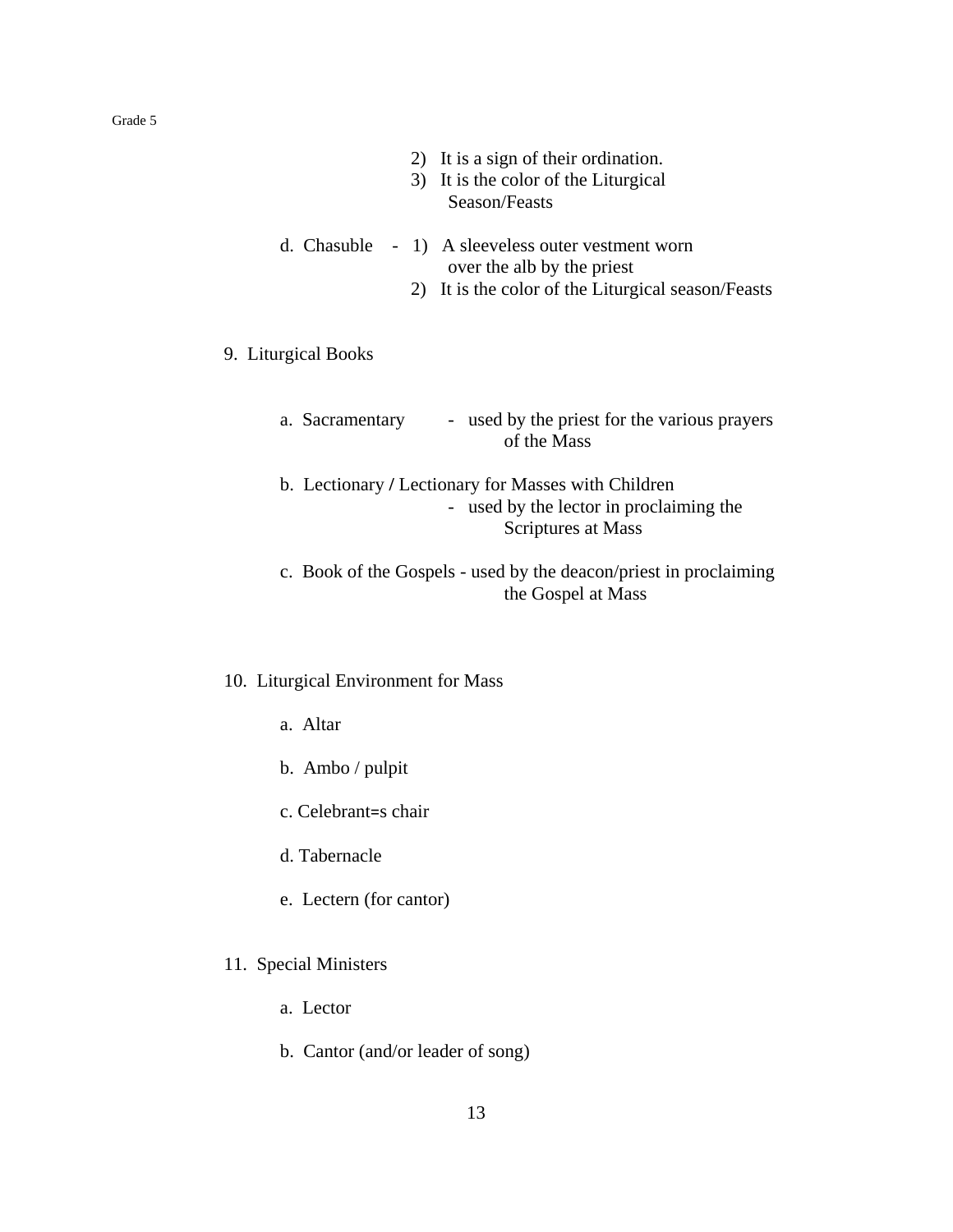| 2) It is a sign of their ordination.<br>3) It is the color of the Liturgical<br>Season/Feasts                                            |
|------------------------------------------------------------------------------------------------------------------------------------------|
| d. Chasuble<br>- 1) A sleeveless outer vestment worn<br>over the alb by the priest<br>2) It is the color of the Liturgical season/Feasts |
| 9. Liturgical Books                                                                                                                      |
| - used by the priest for the various prayers<br>a. Sacramentary<br>of the Mass                                                           |
| b. Lectionary / Lectionary for Masses with Children<br>used by the lector in proclaiming the<br>Scriptures at Mass                       |
| c. Book of the Gospels - used by the deacon/priest in proclaiming<br>the Gospel at Mass                                                  |
| 10. Liturgical Environment for Mass                                                                                                      |

- a. Altar
- b. Ambo / pulpit
- c. Celebrant=s chair
- d. Tabernacle
- e. Lectern (for cantor)
- 11. Special Ministers
	- a. Lector
	- b. Cantor (and/or leader of song)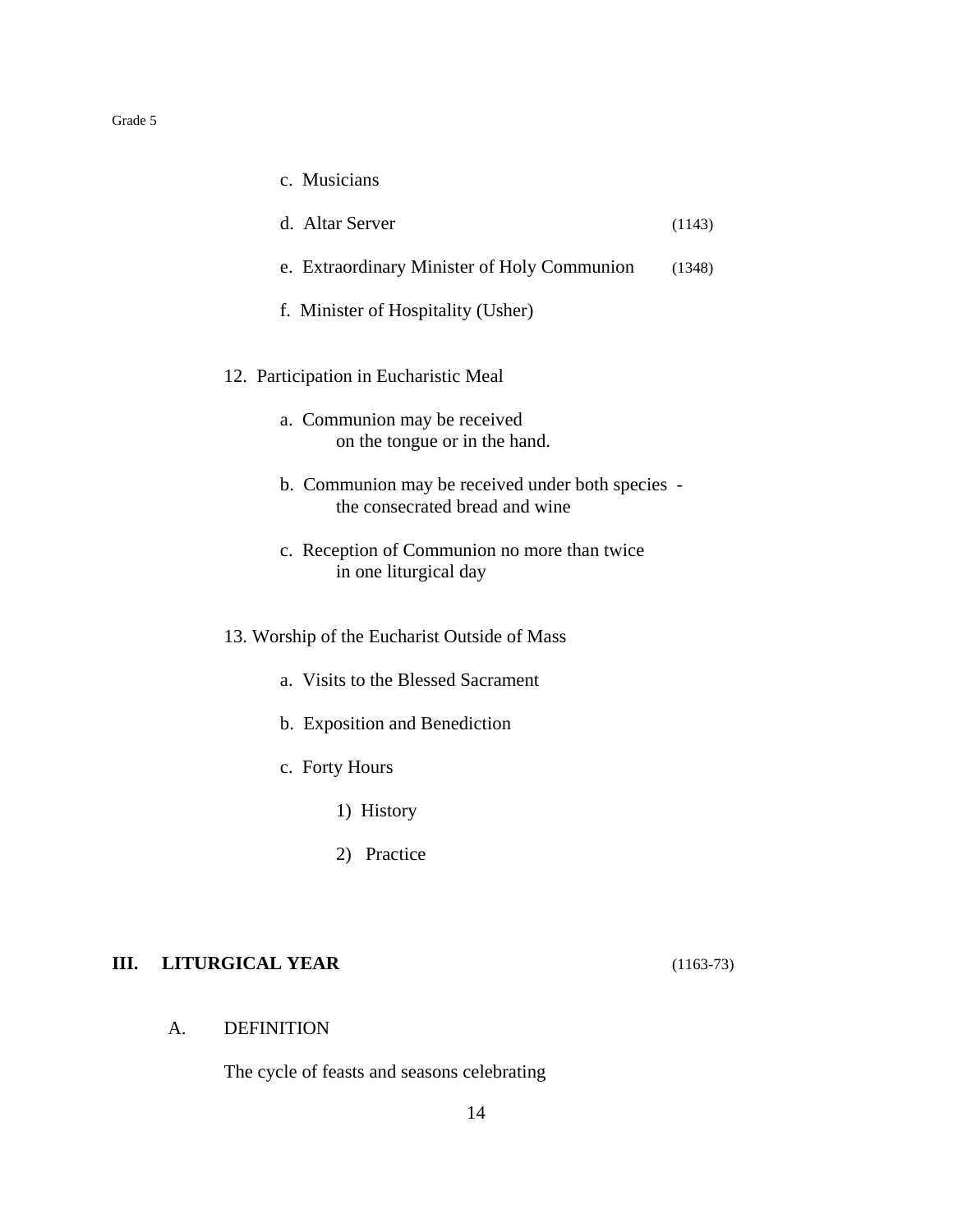| c. Musicians                                                                        |        |
|-------------------------------------------------------------------------------------|--------|
| d. Altar Server                                                                     | (1143) |
| e. Extraordinary Minister of Holy Communion                                         | (1348) |
| f. Minister of Hospitality (Usher)                                                  |        |
| 12. Participation in Eucharistic Meal                                               |        |
| a. Communion may be received<br>on the tongue or in the hand.                       |        |
| b. Communion may be received under both species -<br>the consecrated bread and wine |        |
| c. Reception of Communion no more than twice<br>in one liturgical day               |        |
| 13. Worship of the Eucharist Outside of Mass                                        |        |
| a. Visits to the Blessed Sacrament                                                  |        |
| b. Exposition and Benediction                                                       |        |
| c. Forty Hours                                                                      |        |
| 1) History                                                                          |        |
| 2) Practice                                                                         |        |

## **III. LITURGICAL YEAR** (1163-73)

## A. DEFINITION

The cycle of feasts and seasons celebrating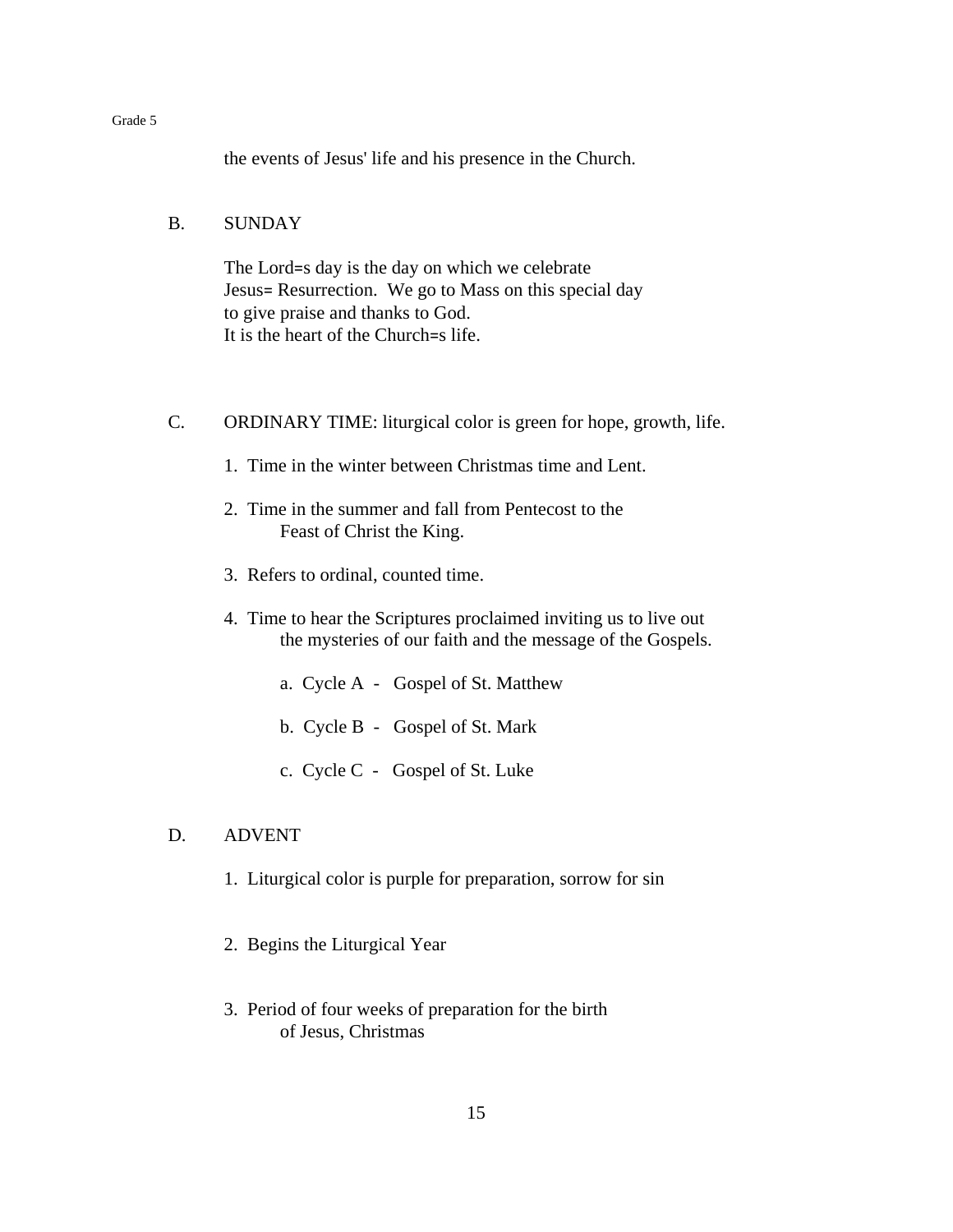the events of Jesus' life and his presence in the Church.

## B. SUNDAY

The Lord=s day is the day on which we celebrate Jesus= Resurrection. We go to Mass on this special day to give praise and thanks to God. It is the heart of the Church=s life.

- C. ORDINARY TIME: liturgical color is green for hope, growth, life.
	- 1. Time in the winter between Christmas time and Lent.
	- 2. Time in the summer and fall from Pentecost to the Feast of Christ the King.
	- 3. Refers to ordinal, counted time.
	- 4. Time to hear the Scriptures proclaimed inviting us to live out the mysteries of our faith and the message of the Gospels.
		- a. Cycle A Gospel of St. Matthew
		- b. Cycle B Gospel of St. Mark
		- c. Cycle C Gospel of St. Luke

## D. ADVENT

- 1. Liturgical color is purple for preparation, sorrow for sin
- 2. Begins the Liturgical Year
- 3. Period of four weeks of preparation for the birth of Jesus, Christmas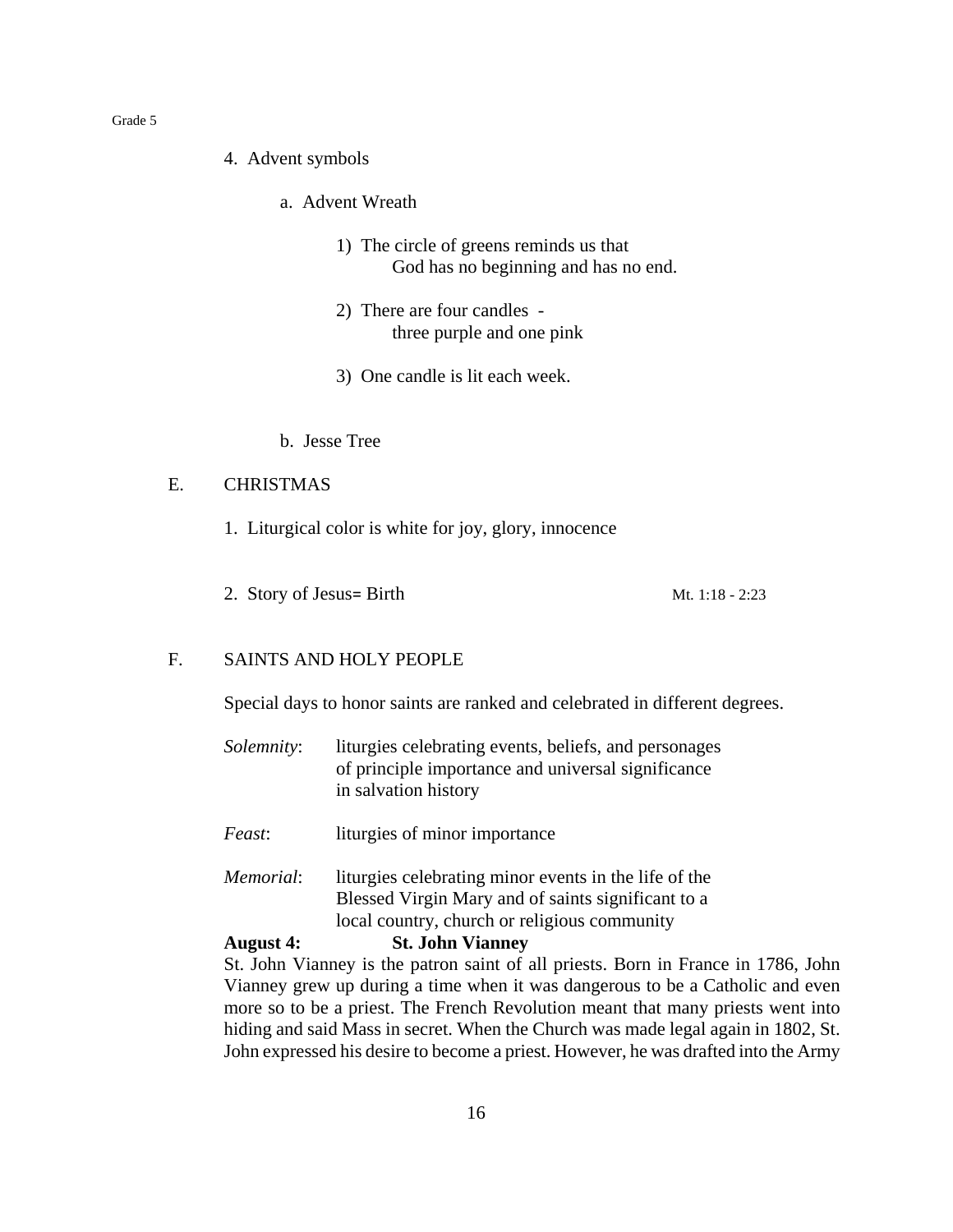- 4. Advent symbols
	- a. Advent Wreath
		- 1) The circle of greens reminds us that God has no beginning and has no end.
		- 2) There are four candles three purple and one pink
		- 3) One candle is lit each week.
	- b. Jesse Tree

## E. CHRISTMAS

- 1. Liturgical color is white for joy, glory, innocence
- 2. Story of Jesus= Birth Mt.  $1:18 2:23$

## F. SAINTS AND HOLY PEOPLE

Special days to honor saints are ranked and celebrated in different degrees.

- *Solemnity*: liturgies celebrating events, beliefs, and personages of principle importance and universal significance in salvation history
- *Feast*: liturgies of minor importance
- *Memorial*: liturgies celebrating minor events in the life of the Blessed Virgin Mary and of saints significant to a local country, church or religious community

## **August 4: St. John Vianney**

St. John Vianney is the patron saint of all priests. Born in France in 1786, John Vianney grew up during a time when it was dangerous to be a Catholic and even more so to be a priest. The French Revolution meant that many priests went into hiding and said Mass in secret. When the Church was made legal again in 1802, St. John expressed his desire to become a priest. However, he was drafted into the Army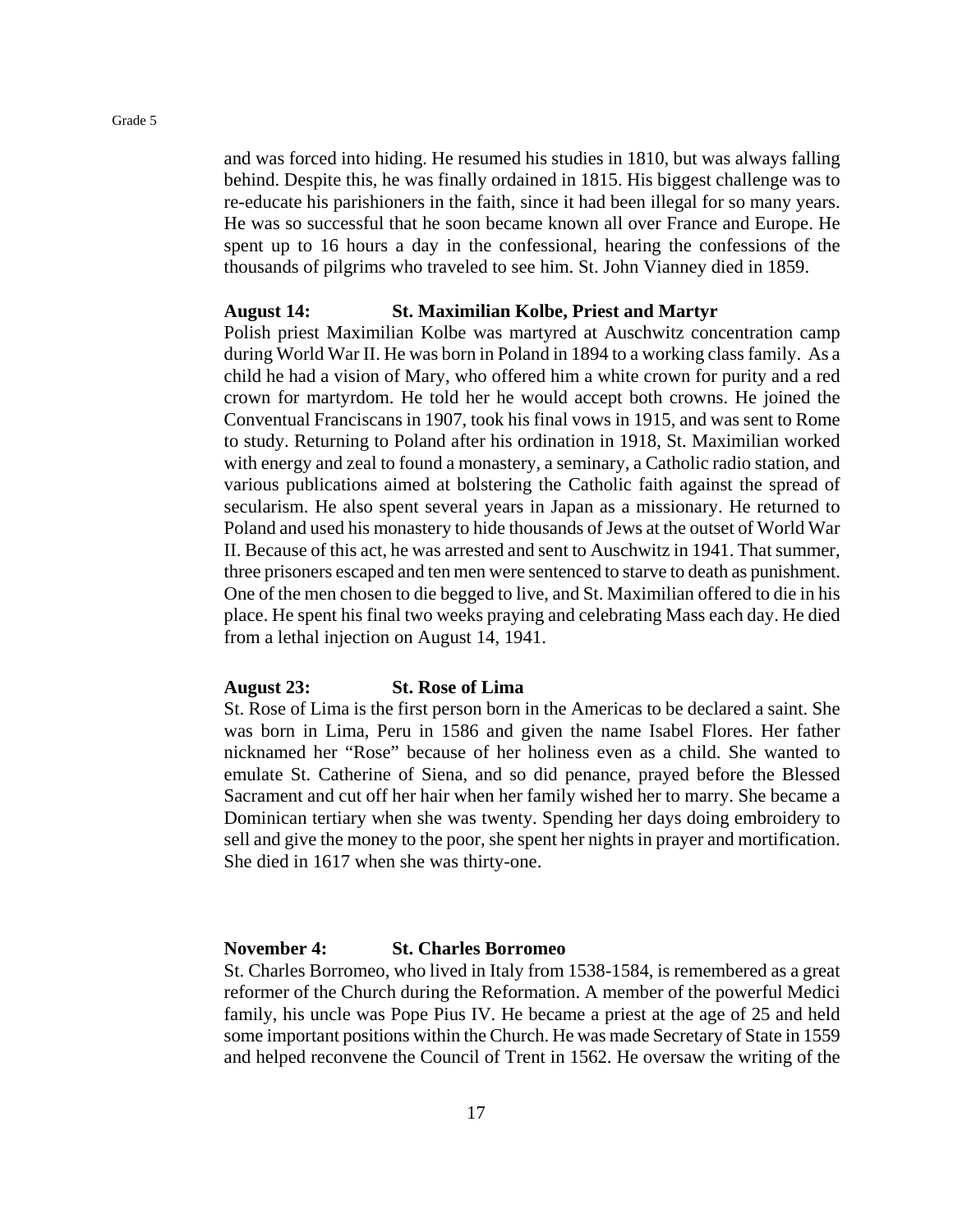and was forced into hiding. He resumed his studies in 1810, but was always falling behind. Despite this, he was finally ordained in 1815. His biggest challenge was to re-educate his parishioners in the faith, since it had been illegal for so many years. He was so successful that he soon became known all over France and Europe. He spent up to 16 hours a day in the confessional, hearing the confessions of the thousands of pilgrims who traveled to see him. St. John Vianney died in 1859.

#### **August 14: St. Maximilian Kolbe, Priest and Martyr**

Polish priest Maximilian Kolbe was martyred at Auschwitz concentration camp during World War II. He was born in Poland in 1894 to a working class family. As a child he had a vision of Mary, who offered him a white crown for purity and a red crown for martyrdom. He told her he would accept both crowns. He joined the Conventual Franciscans in 1907, took his final vows in 1915, and was sent to Rome to study. Returning to Poland after his ordination in 1918, St. Maximilian worked with energy and zeal to found a monastery, a seminary, a Catholic radio station, and various publications aimed at bolstering the Catholic faith against the spread of secularism. He also spent several years in Japan as a missionary. He returned to Poland and used his monastery to hide thousands of Jews at the outset of World War II. Because of this act, he was arrested and sent to Auschwitz in 1941. That summer, three prisoners escaped and ten men were sentenced to starve to death as punishment. One of the men chosen to die begged to live, and St. Maximilian offered to die in his place. He spent his final two weeks praying and celebrating Mass each day. He died from a lethal injection on August 14, 1941.

#### **August 23: St. Rose of Lima**

St. Rose of Lima is the first person born in the Americas to be declared a saint. She was born in Lima, Peru in 1586 and given the name Isabel Flores. Her father nicknamed her "Rose" because of her holiness even as a child. She wanted to emulate St. Catherine of Siena, and so did penance, prayed before the Blessed Sacrament and cut off her hair when her family wished her to marry. She became a Dominican tertiary when she was twenty. Spending her days doing embroidery to sell and give the money to the poor, she spent her nights in prayer and mortification. She died in 1617 when she was thirty-one.

## **November 4: St. Charles Borromeo**

St. Charles Borromeo, who lived in Italy from 1538-1584, is remembered as a great reformer of the Church during the Reformation. A member of the powerful Medici family, his uncle was Pope Pius IV. He became a priest at the age of 25 and held some important positions within the Church. He was made Secretary of State in 1559 and helped reconvene the Council of Trent in 1562. He oversaw the writing of the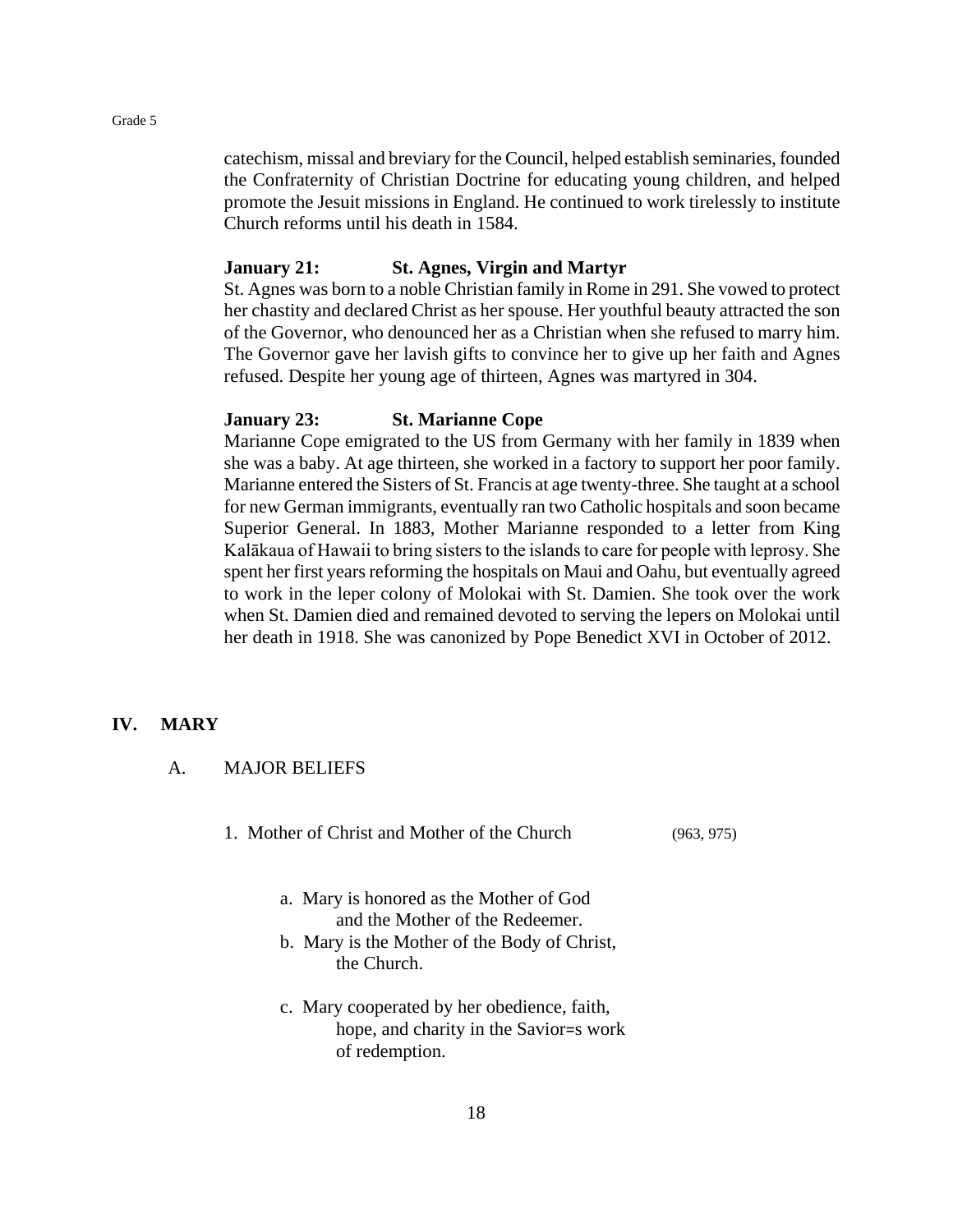catechism, missal and breviary for the Council, helped establish seminaries, founded the Confraternity of Christian Doctrine for educating young children, and helped promote the Jesuit missions in England. He continued to work tirelessly to institute Church reforms until his death in 1584.

#### **January 21: St. Agnes, Virgin and Martyr**

St. Agnes was born to a noble Christian family in Rome in 291. She vowed to protect her chastity and declared Christ as her spouse. Her youthful beauty attracted the son of the Governor, who denounced her as a Christian when she refused to marry him. The Governor gave her lavish gifts to convince her to give up her faith and Agnes refused. Despite her young age of thirteen, Agnes was martyred in 304.

## **January 23: St. Marianne Cope**

Marianne Cope emigrated to the US from Germany with her family in 1839 when she was a baby. At age thirteen, she worked in a factory to support her poor family. Marianne entered the Sisters of St. Francis at age twenty-three. She taught at a school for new German immigrants, eventually ran two Catholic hospitals and soon became Superior General. In 1883, Mother Marianne responded to a letter from King Kalākaua of Hawaii to bring sisters to the islands to care for people with leprosy. She spent her first years reforming the hospitals on Maui and Oahu, but eventually agreed to work in the leper colony of Molokai with St. Damien. She took over the work when St. Damien died and remained devoted to serving the lepers on Molokai until her death in 1918. She was canonized by Pope Benedict XVI in October of 2012.

#### **IV. MARY**

A. MAJOR BELIEFS

1. Mother of Christ and Mother of the Church (963, 975)

- a. Mary is honored as the Mother of God and the Mother of the Redeemer.
- b. Mary is the Mother of the Body of Christ, the Church.
- c. Mary cooperated by her obedience, faith, hope, and charity in the Savior=s work of redemption.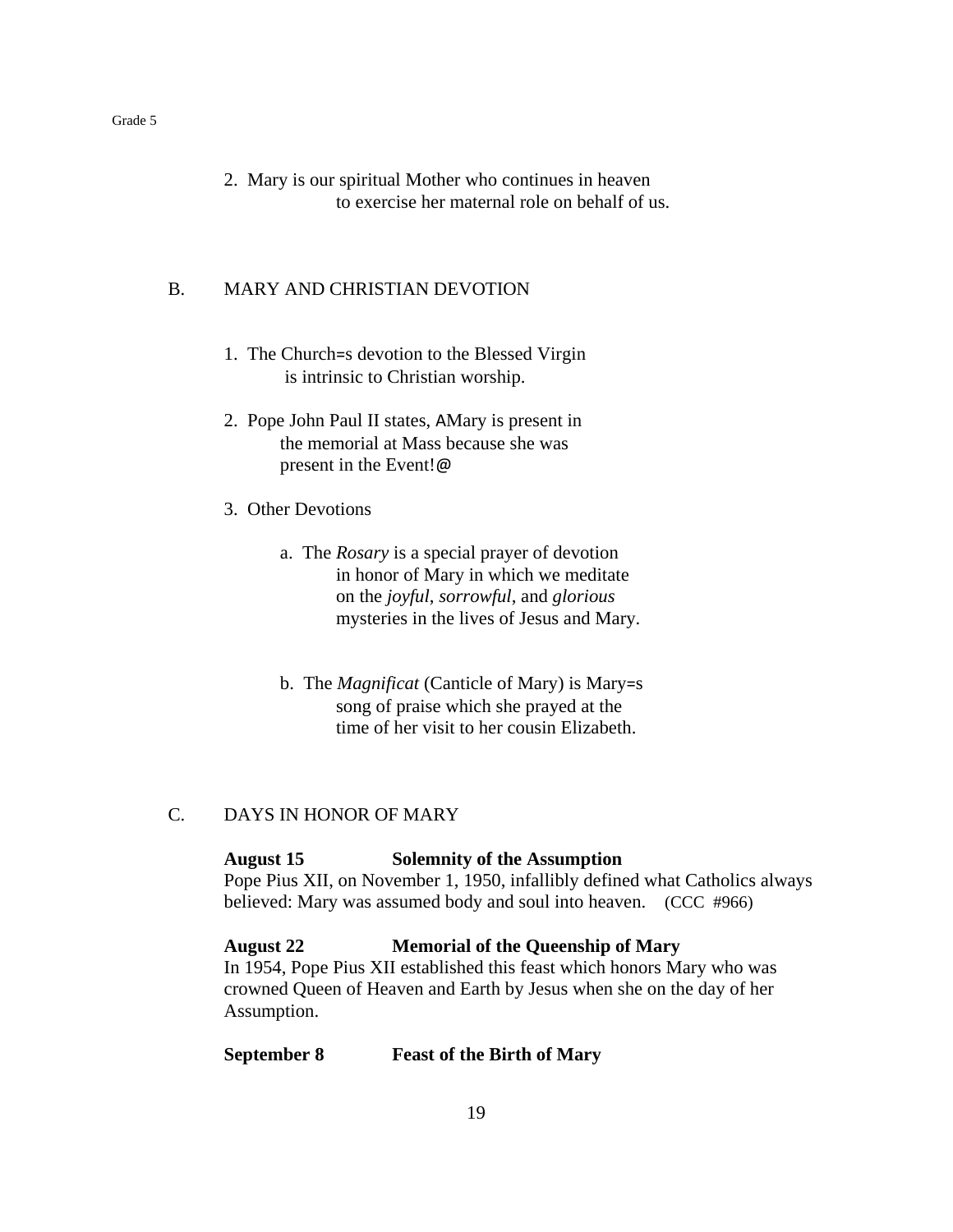2. Mary is our spiritual Mother who continues in heaven to exercise her maternal role on behalf of us.

#### B. MARY AND CHRISTIAN DEVOTION

- 1. The Church=s devotion to the Blessed Virgin is intrinsic to Christian worship.
- 2. Pope John Paul II states, AMary is present in the memorial at Mass because she was present in the Event!@
- 3. Other Devotions
	- a. The *Rosary* is a special prayer of devotion in honor of Mary in which we meditate on the *joyful*, *sorrowful*, and *glorious* mysteries in the lives of Jesus and Mary.
	- b. The *Magnificat* (Canticle of Mary) is Mary=s song of praise which she prayed at the time of her visit to her cousin Elizabeth.

## C. DAYS IN HONOR OF MARY

#### **August 15 Solemnity of the Assumption**

Pope Pius XII, on November 1, 1950, infallibly defined what Catholics always believed: Mary was assumed body and soul into heaven. (CCC #966)

**August 22 Memorial of the Queenship of Mary** In 1954, Pope Pius XII established this feast which honors Mary who was crowned Queen of Heaven and Earth by Jesus when she on the day of her Assumption.

#### **September 8 Feast of the Birth of Mary**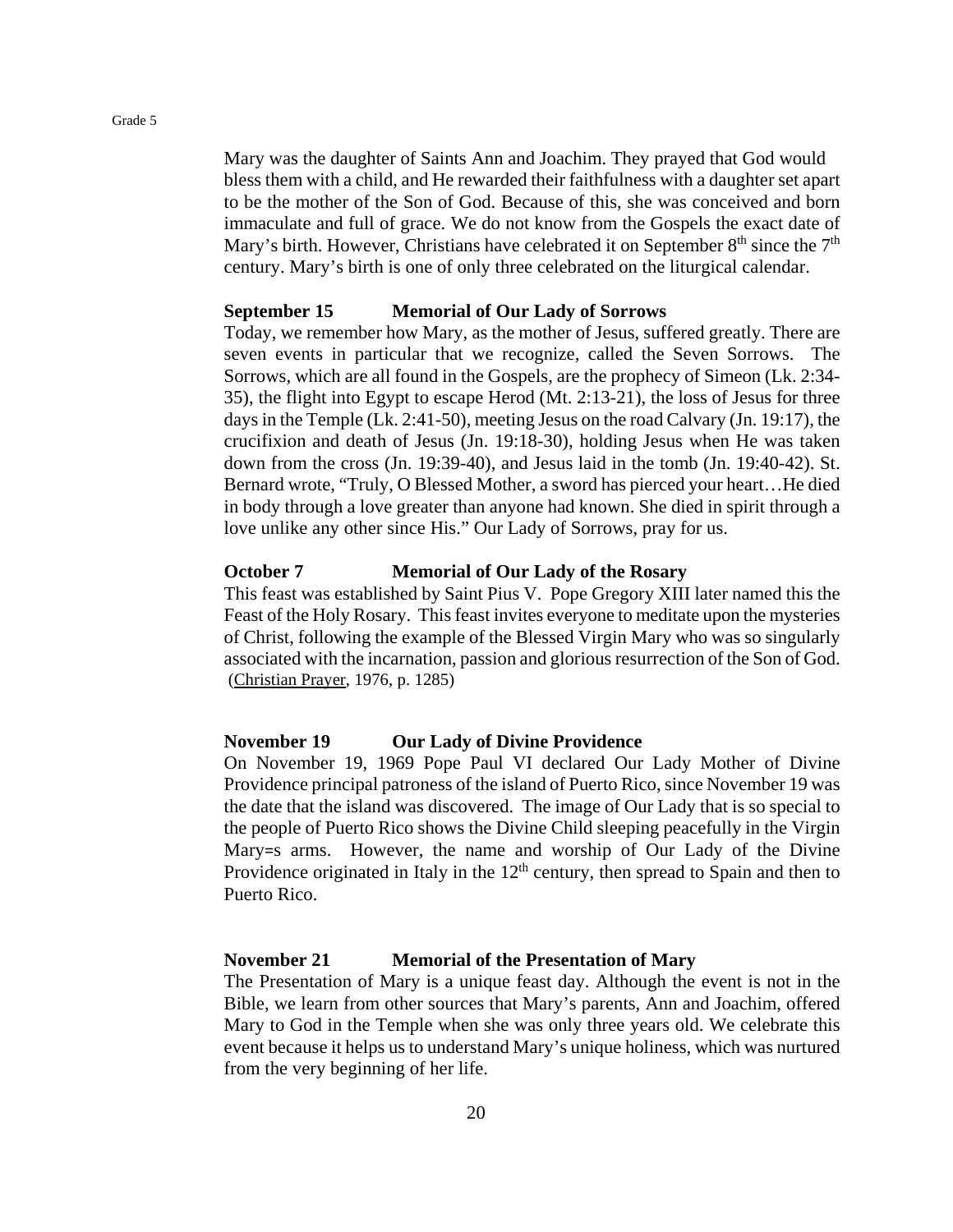Mary was the daughter of Saints Ann and Joachim. They prayed that God would bless them with a child, and He rewarded their faithfulness with a daughter set apart to be the mother of the Son of God. Because of this, she was conceived and born immaculate and full of grace. We do not know from the Gospels the exact date of Mary's birth. However, Christians have celebrated it on September  $8<sup>th</sup>$  since the  $7<sup>th</sup>$ century. Mary's birth is one of only three celebrated on the liturgical calendar.

#### **September 15 Memorial of Our Lady of Sorrows**

Today, we remember how Mary, as the mother of Jesus, suffered greatly. There are seven events in particular that we recognize, called the Seven Sorrows. The Sorrows, which are all found in the Gospels, are the prophecy of Simeon (Lk. 2:34- 35), the flight into Egypt to escape Herod (Mt. 2:13-21), the loss of Jesus for three days in the Temple (Lk. 2:41-50), meeting Jesus on the road Calvary (Jn. 19:17), the crucifixion and death of Jesus (Jn. 19:18-30), holding Jesus when He was taken down from the cross (Jn. 19:39-40), and Jesus laid in the tomb (Jn. 19:40-42). St. Bernard wrote, "Truly, O Blessed Mother, a sword has pierced your heart…He died in body through a love greater than anyone had known. She died in spirit through a love unlike any other since His." Our Lady of Sorrows, pray for us.

## **October 7 Memorial of Our Lady of the Rosary**

This feast was established by Saint Pius V. Pope Gregory XIII later named this the Feast of the Holy Rosary. This feast invites everyone to meditate upon the mysteries of Christ, following the example of the Blessed Virgin Mary who was so singularly associated with the incarnation, passion and glorious resurrection of the Son of God. (Christian Prayer, 1976, p. 1285)

#### **November 19 Our Lady of Divine Providence**

On November 19, 1969 Pope Paul VI declared Our Lady Mother of Divine Providence principal patroness of the island of Puerto Rico, since November 19 was the date that the island was discovered. The image of Our Lady that is so special to the people of Puerto Rico shows the Divine Child sleeping peacefully in the Virgin Mary=s arms. However, the name and worship of Our Lady of the Divine Providence originated in Italy in the  $12<sup>th</sup>$  century, then spread to Spain and then to Puerto Rico.

## **November 21 Memorial of the Presentation of Mary**

The Presentation of Mary is a unique feast day. Although the event is not in the Bible, we learn from other sources that Mary's parents, Ann and Joachim, offered Mary to God in the Temple when she was only three years old. We celebrate this event because it helps us to understand Mary's unique holiness, which was nurtured from the very beginning of her life.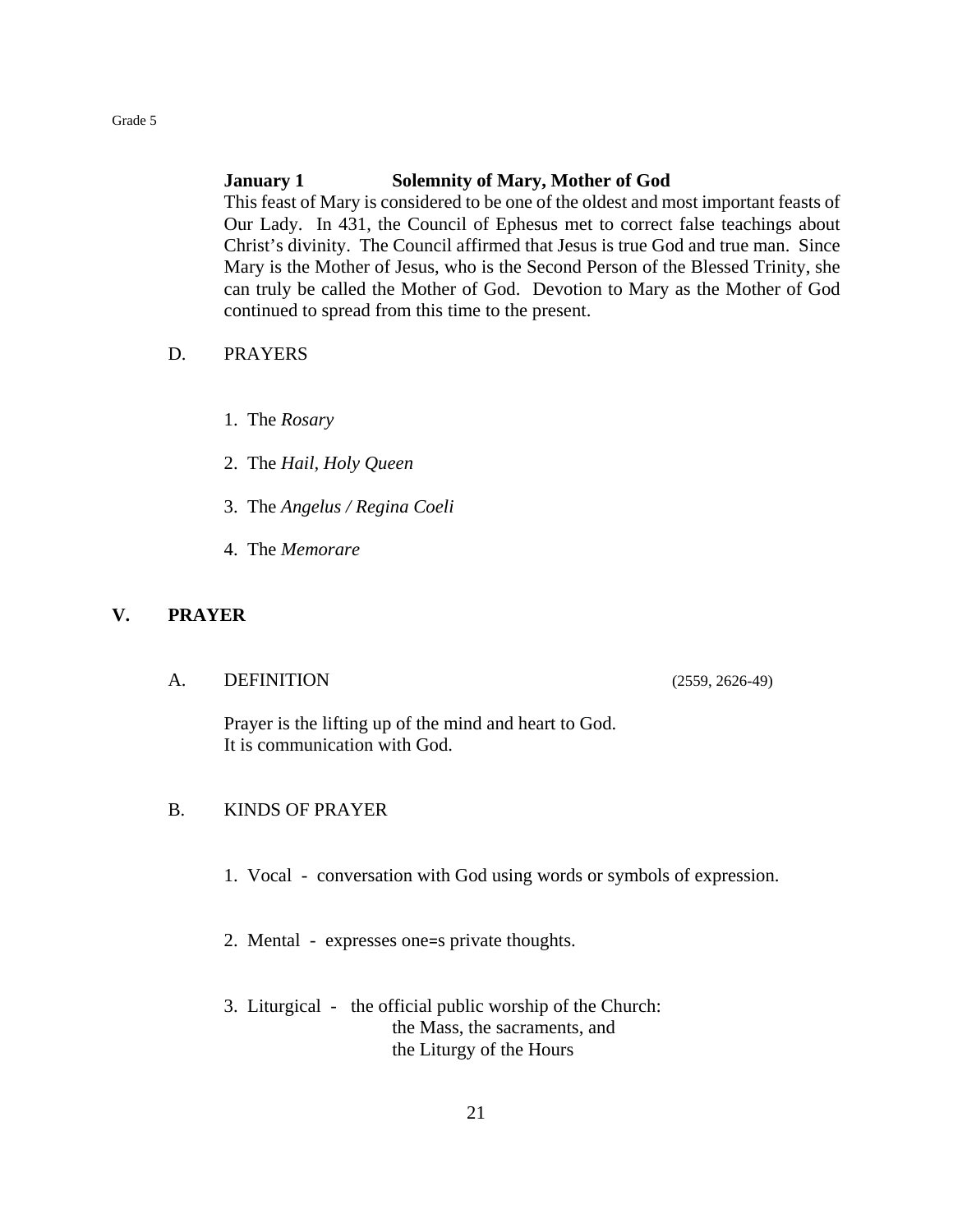## **January 1 Solemnity of Mary, Mother of God**

This feast of Mary is considered to be one of the oldest and most important feasts of Our Lady. In 431, the Council of Ephesus met to correct false teachings about Christ's divinity. The Council affirmed that Jesus is true God and true man. Since Mary is the Mother of Jesus, who is the Second Person of the Blessed Trinity, she can truly be called the Mother of God. Devotion to Mary as the Mother of God continued to spread from this time to the present.

#### D. PRAYERS

- 1. The *Rosary*
- 2. The *Hail, Holy Queen*
- 3. The *Angelus / Regina Coeli*
- 4. The *Memorare*

#### **V. PRAYER**

A. DEFINITION (2559, 2626-49)

Prayer is the lifting up of the mind and heart to God. It is communication with God.

### B. KINDS OF PRAYER

- 1. Vocal conversation with God using words or symbols of expression.
- 2. Mental expresses one=s private thoughts.
- 3. Liturgical the official public worship of the Church: the Mass, the sacraments, and the Liturgy of the Hours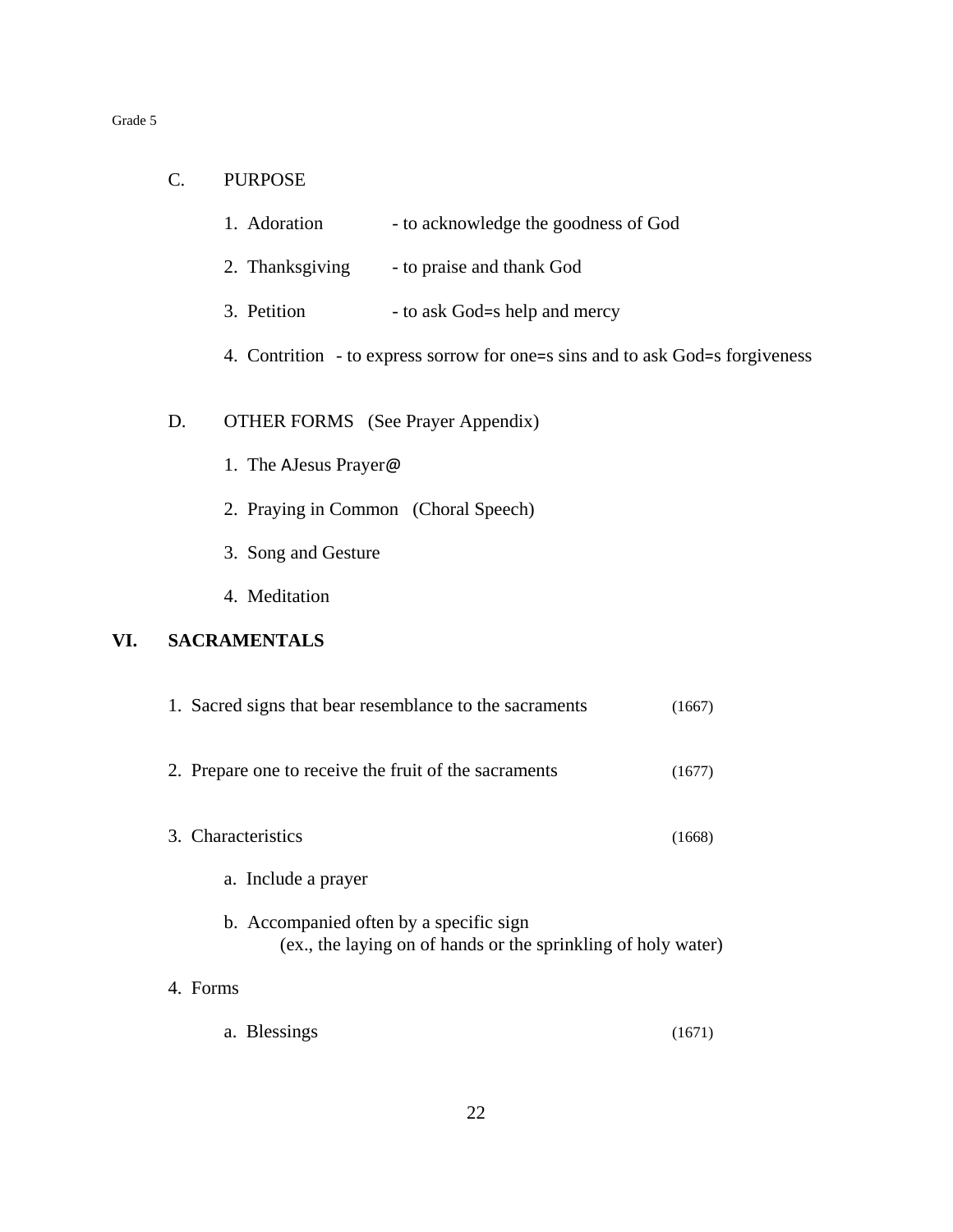- 1. Adoration to acknowledge the goodness of God
- 2. Thanksgiving to praise and thank God
- 3. Petition to ask God=s help and mercy
- 4. Contrition to express sorrow for one=s sins and to ask God=s forgiveness

## D. OTHER FORMS (See Prayer Appendix)

- 1. The AJesus Prayer@
- 2. Praying in Common (Choral Speech)
- 3. Song and Gesture
- 4. Meditation

## **VI. SACRAMENTALS**

| 1. Sacred signs that bear resemblance to the sacraments                                                  | (1667) |
|----------------------------------------------------------------------------------------------------------|--------|
| 2. Prepare one to receive the fruit of the sacraments                                                    | (1677) |
| 3. Characteristics                                                                                       | (1668) |
| a. Include a prayer                                                                                      |        |
| b. Accompanied often by a specific sign<br>(ex., the laying on of hands or the sprinkling of holy water) |        |
| Forms                                                                                                    |        |

a. Blessings (1671)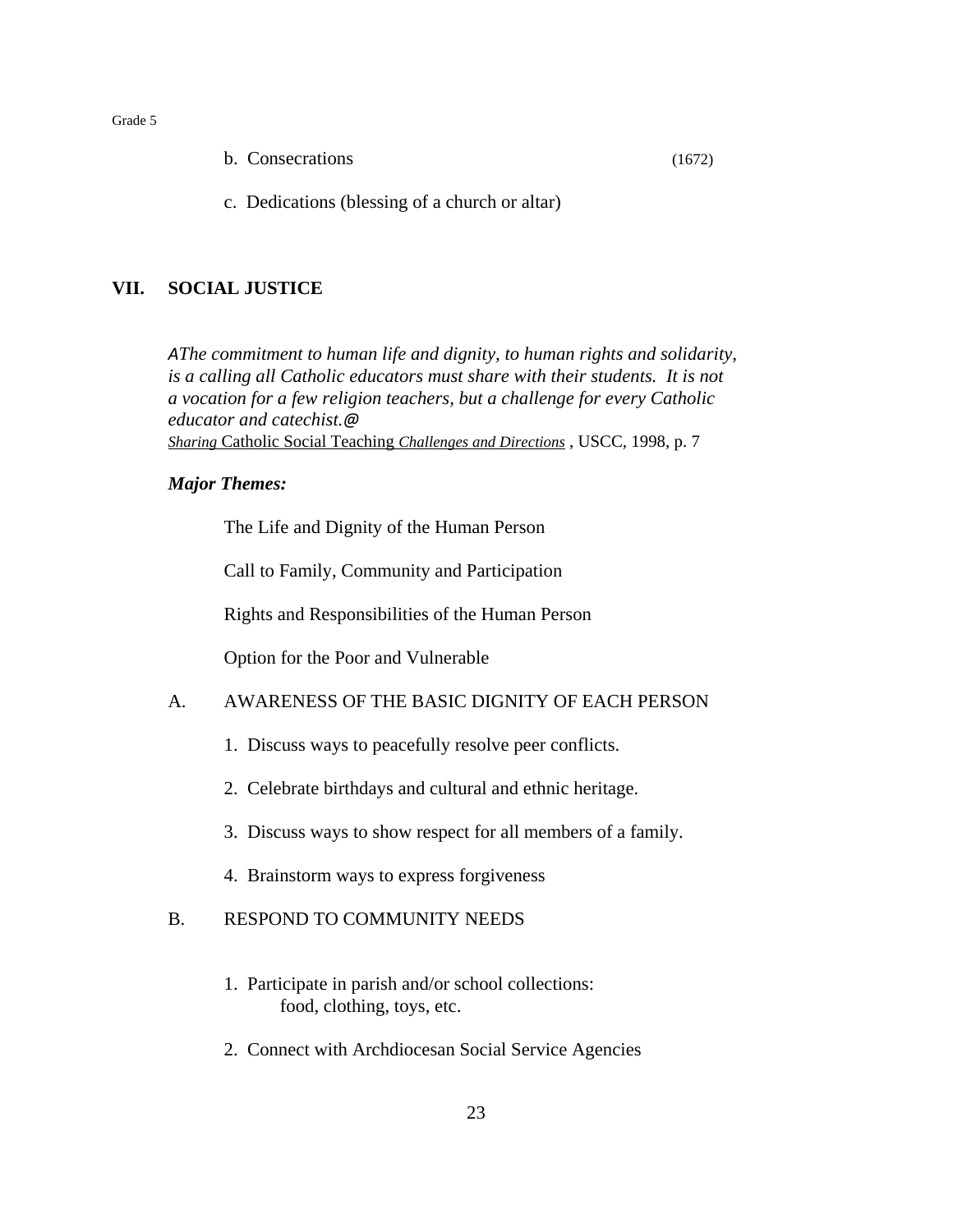|  | b. Consecrations | (1672) |
|--|------------------|--------|
|--|------------------|--------|

c. Dedications (blessing of a church or altar)

## **VII. SOCIAL JUSTICE**

*AThe commitment to human life and dignity, to human rights and solidarity, is a calling all Catholic educators must share with their students. It is not a vocation for a few religion teachers, but a challenge for every Catholic educator and catechist.@ Sharing* Catholic Social Teaching *Challenges and Directions* , USCC, 1998, p. 7

#### *Major Themes:*

The Life and Dignity of the Human Person

Call to Family, Community and Participation

Rights and Responsibilities of the Human Person

Option for the Poor and Vulnerable

## A. AWARENESS OF THE BASIC DIGNITY OF EACH PERSON

- 1. Discuss ways to peacefully resolve peer conflicts.
- 2. Celebrate birthdays and cultural and ethnic heritage.
- 3. Discuss ways to show respect for all members of a family.
- 4. Brainstorm ways to express forgiveness

## B. RESPOND TO COMMUNITY NEEDS

- 1. Participate in parish and/or school collections: food, clothing, toys, etc.
- 2. Connect with Archdiocesan Social Service Agencies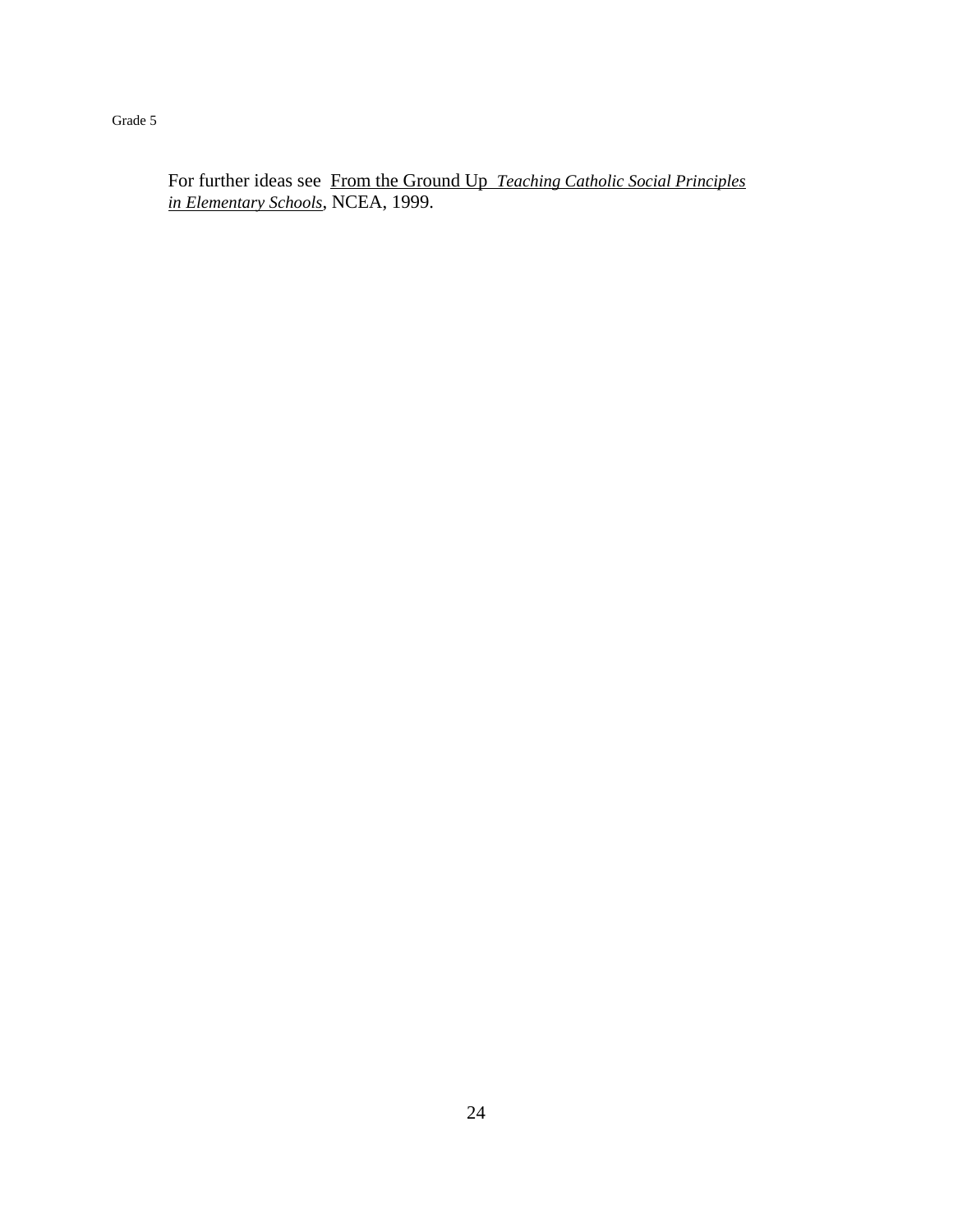For further ideas see From the Ground Up *Teaching Catholic Social Principles in Elementary Schools*, NCEA, 1999.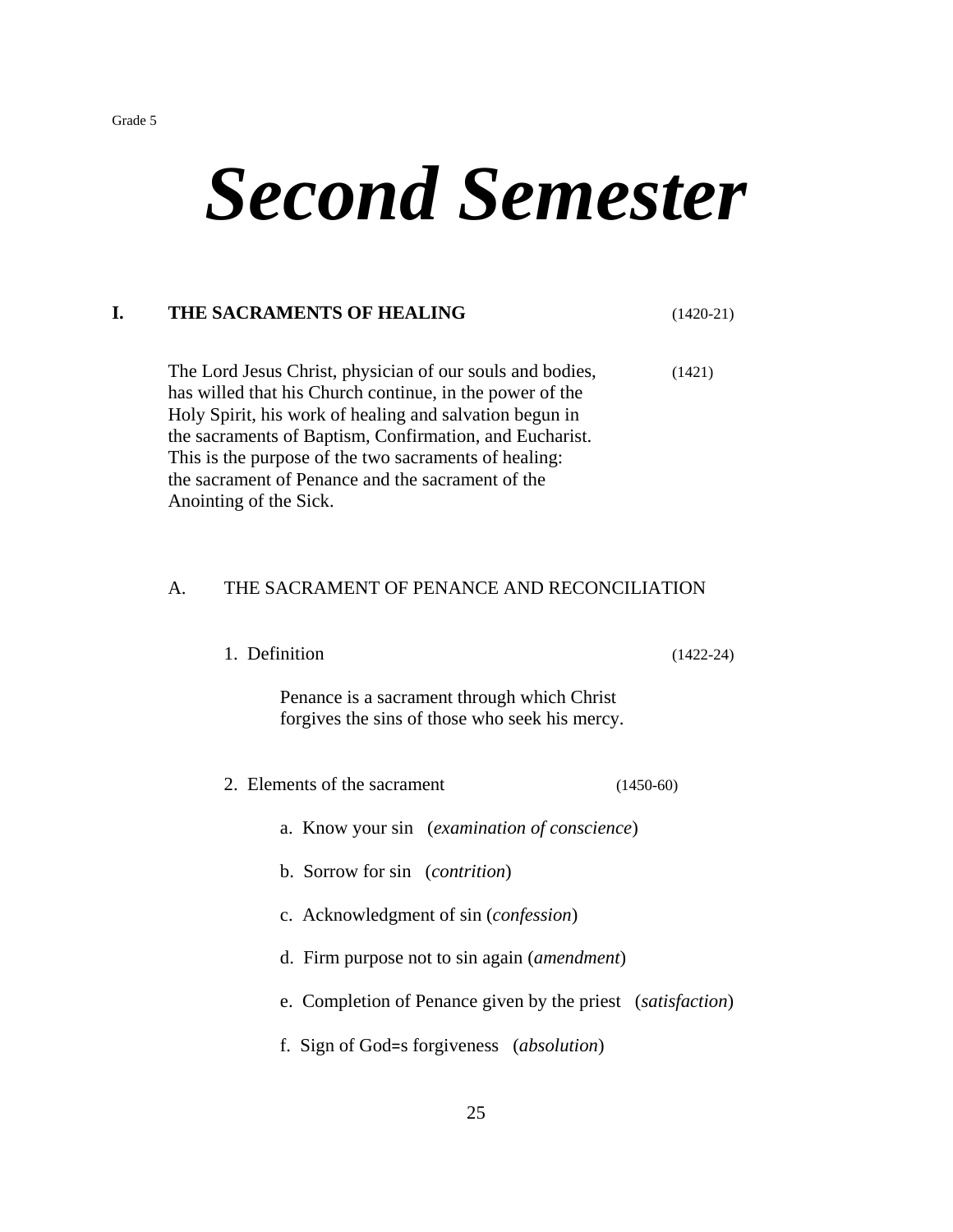# *Second Semester*

## **I. THE SACRAMENTS OF HEALING** (1420-21)

The Lord Jesus Christ, physician of our souls and bodies, (1421) has willed that his Church continue, in the power of the Holy Spirit, his work of healing and salvation begun in the sacraments of Baptism, Confirmation, and Eucharist. This is the purpose of the two sacraments of healing: the sacrament of Penance and the sacrament of the Anointing of the Sick.

## A. THE SACRAMENT OF PENANCE AND RECONCILIATION

1. Definition (1422-24)

Penance is a sacrament through which Christ forgives the sins of those who seek his mercy.

- 2. Elements of the sacrament (1450-60)
	- a. Know your sin (*examination of conscience*)
	- b. Sorrow for sin (*contrition*)
	- c. Acknowledgment of sin (*confession*)
	- d. Firm purpose not to sin again (*amendment*)
	- e. Completion of Penance given by the priest (*satisfaction*)
	- f. Sign of God=s forgiveness (*absolution*)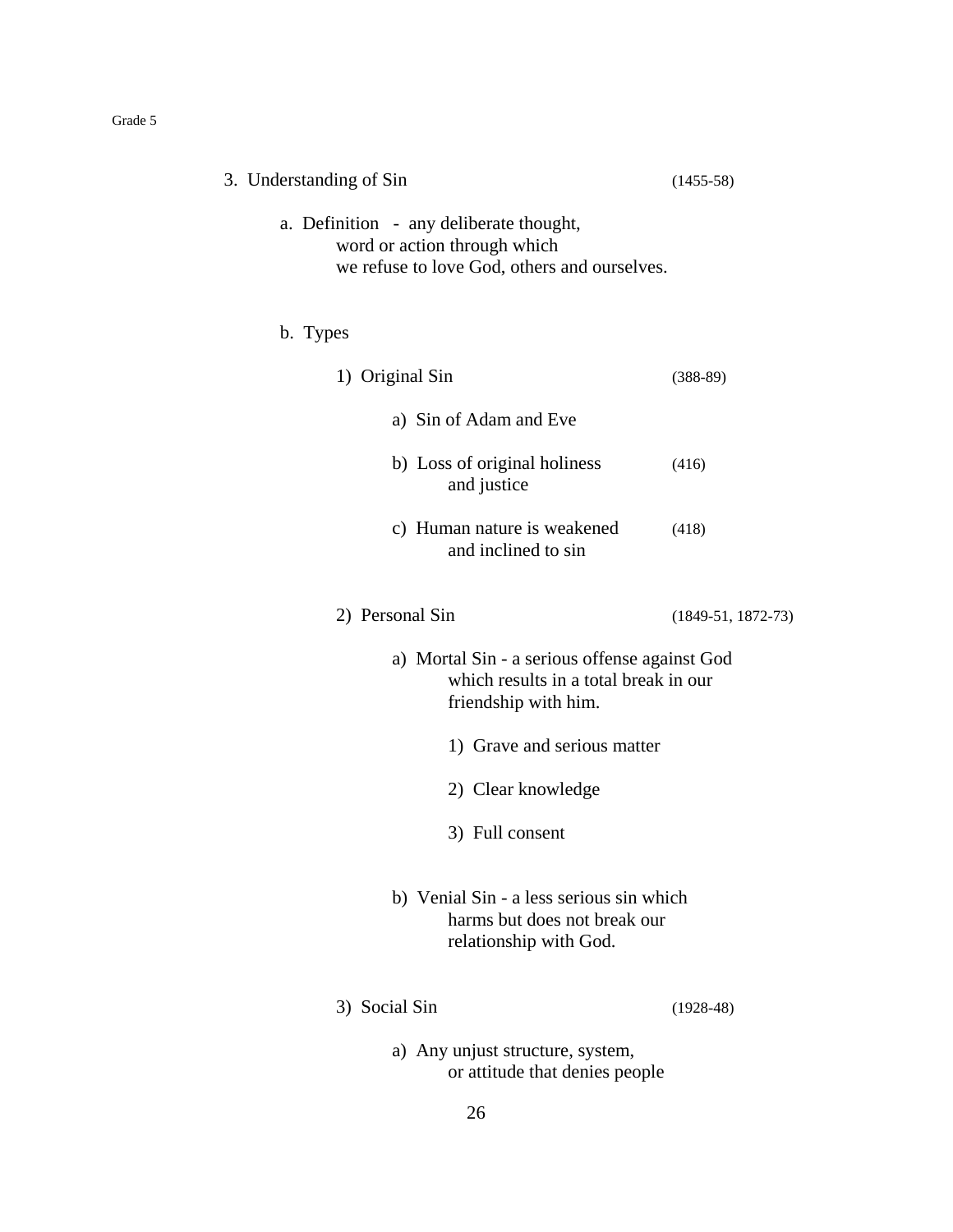| 3. Understanding of Sin                                                                                                 | $(1455-58)$          |
|-------------------------------------------------------------------------------------------------------------------------|----------------------|
| a. Definition - any deliberate thought,<br>word or action through which<br>we refuse to love God, others and ourselves. |                      |
| b. Types                                                                                                                |                      |
| 1) Original Sin                                                                                                         | $(388-89)$           |
| a) Sin of Adam and Eve                                                                                                  |                      |
| b) Loss of original holiness<br>and justice                                                                             | (416)                |
| c) Human nature is weakened<br>and inclined to sin                                                                      | (418)                |
| 2) Personal Sin                                                                                                         | $(1849-51, 1872-73)$ |
| a) Mortal Sin - a serious offense against God<br>which results in a total break in our<br>friendship with him.          |                      |
| 1) Grave and serious matter                                                                                             |                      |
| 2) Clear knowledge                                                                                                      |                      |
| 3) Full consent                                                                                                         |                      |
| b) Venial Sin - a less serious sin which<br>harms but does not break our<br>relationship with God.                      |                      |
| 3) Social Sin                                                                                                           | $(1928-48)$          |
| a) Any unjust structure, system,<br>or attitude that denies people                                                      |                      |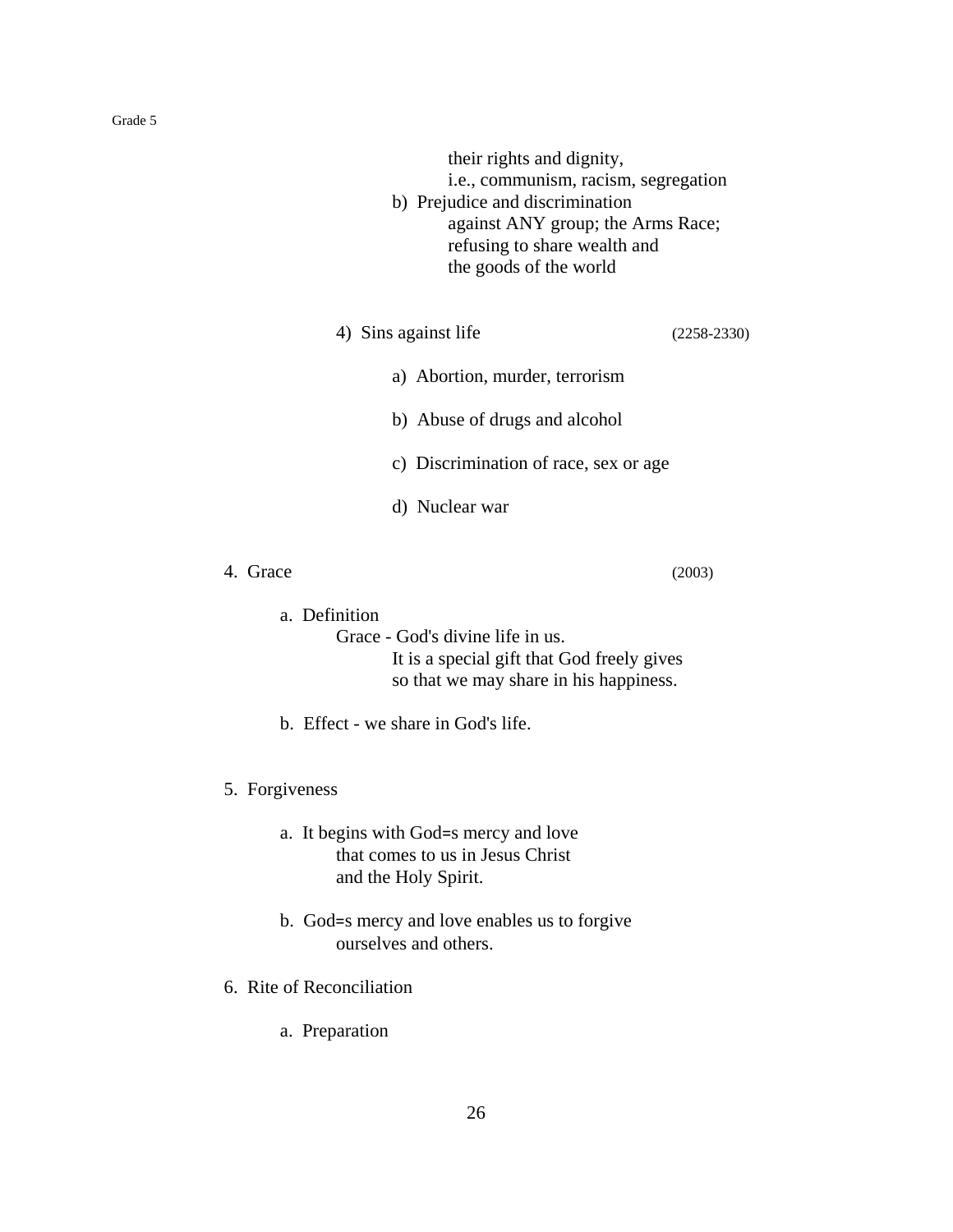their rights and dignity,

i.e., communism, racism, segregation

- b) Prejudice and discrimination against ANY group; the Arms Race; refusing to share wealth and the goods of the world
- 4) Sins against life (2258-2330)

- a) Abortion, murder, terrorism
- b) Abuse of drugs and alcohol
- c) Discrimination of race, sex or age
- d) Nuclear war
- 4. Grace (2003)

a. Definition

Grace - God's divine life in us. It is a special gift that God freely gives so that we may share in his happiness.

- b. Effect we share in God's life.
- 5. Forgiveness
	- a. It begins with God=s mercy and love that comes to us in Jesus Christ and the Holy Spirit.
	- b. God=s mercy and love enables us to forgive ourselves and others.
- 6. Rite of Reconciliation
	- a. Preparation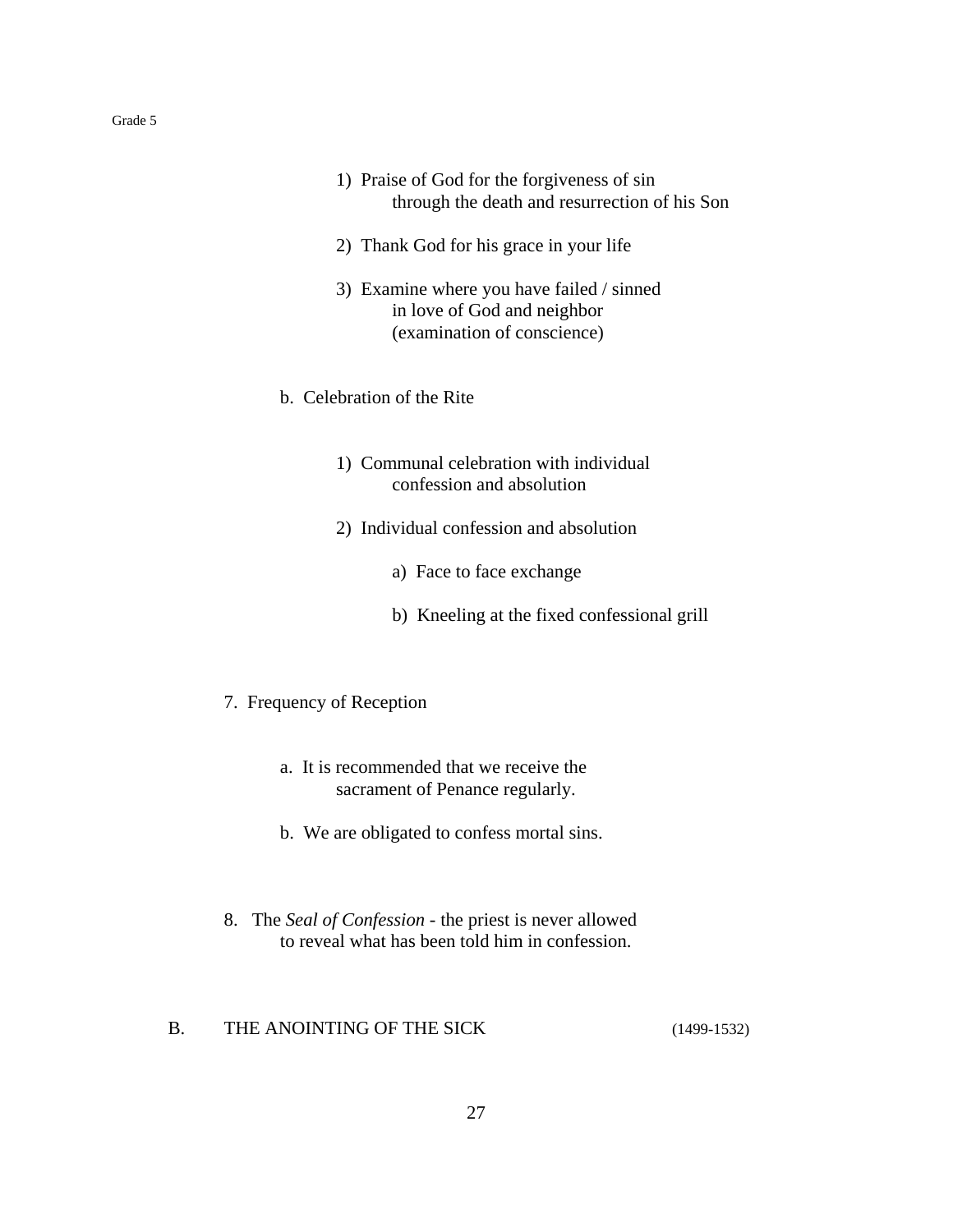- 1) Praise of God for the forgiveness of sin through the death and resurrection of his Son
- 2) Thank God for his grace in your life
- 3) Examine where you have failed / sinned in love of God and neighbor (examination of conscience)
- b. Celebration of the Rite
	- 1) Communal celebration with individual confession and absolution
	- 2) Individual confession and absolution
		- a) Face to face exchange
		- b) Kneeling at the fixed confessional grill
- 7. Frequency of Reception
	- a. It is recommended that we receive the sacrament of Penance regularly.
	- b. We are obligated to confess mortal sins.
- 8.The *Seal of Confession* the priest is never allowed to reveal what has been told him in confession.
- B. THE ANOINTING OF THE SICK (1499-1532)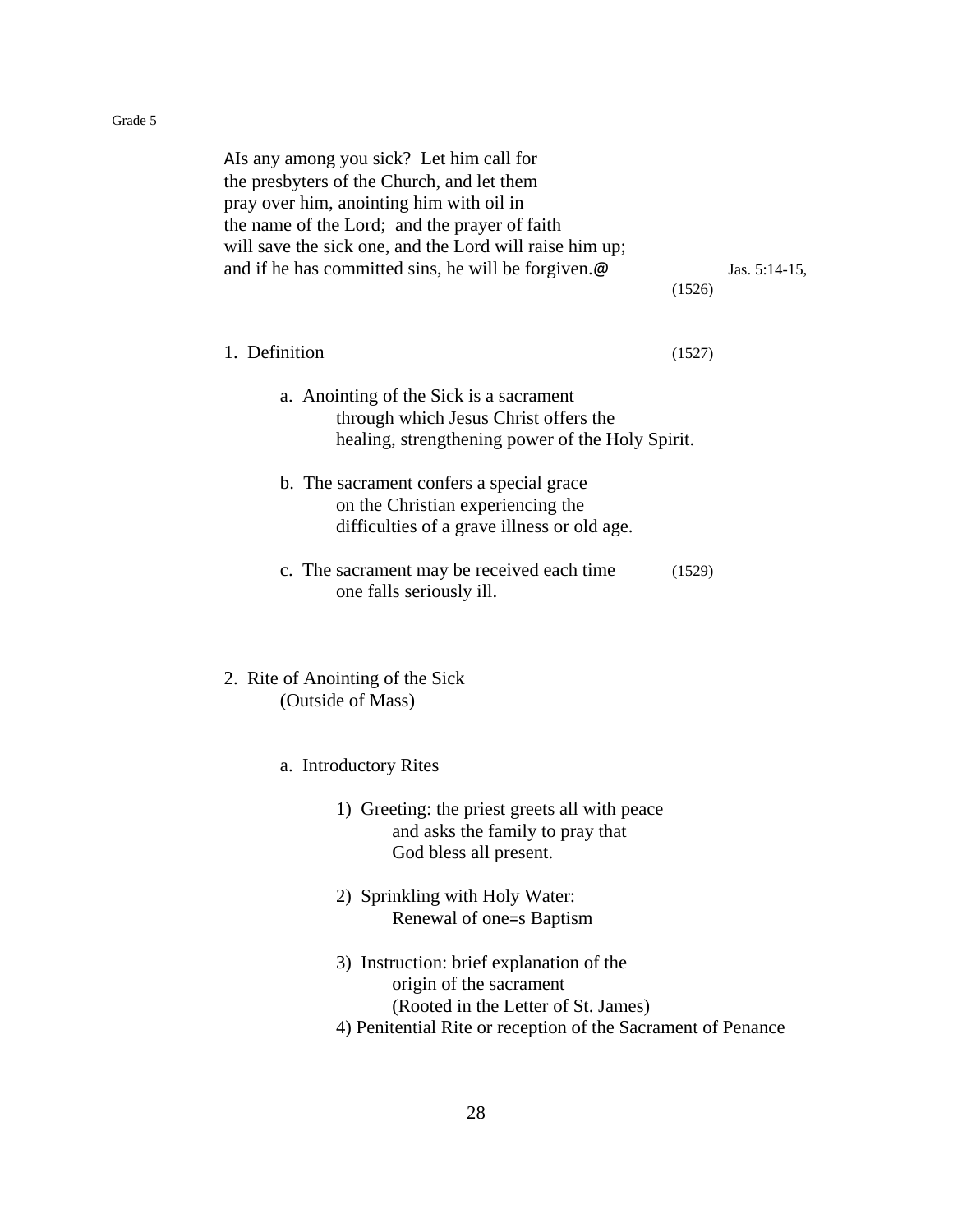| AIs any among you sick? Let him call for<br>the presbyters of the Church, and let them<br>pray over him, anointing him with oil in<br>the name of the Lord; and the prayer of faith<br>will save the sick one, and the Lord will raise him up;<br>and if he has committed sins, he will be forgiven.@ | (1526) | Jas. $5:14-15$ , |
|-------------------------------------------------------------------------------------------------------------------------------------------------------------------------------------------------------------------------------------------------------------------------------------------------------|--------|------------------|
| 1. Definition                                                                                                                                                                                                                                                                                         | (1527) |                  |
| a. Anointing of the Sick is a sacrament<br>through which Jesus Christ offers the<br>healing, strengthening power of the Holy Spirit.                                                                                                                                                                  |        |                  |
| b. The sacrament confers a special grace<br>on the Christian experiencing the<br>difficulties of a grave illness or old age.                                                                                                                                                                          |        |                  |
| c. The sacrament may be received each time<br>one falls seriously ill.                                                                                                                                                                                                                                | (1529) |                  |
| 2. Rite of Anointing of the Sick<br>(Outside of Mass)                                                                                                                                                                                                                                                 |        |                  |
| a. Introductory Rites                                                                                                                                                                                                                                                                                 |        |                  |
| 1) Greeting: the priest greets all with peace<br>and asks the family to pray that<br>God bless all present.                                                                                                                                                                                           |        |                  |
| 2) Sprinkling with Holy Water:<br>Renewal of one=s Baptism                                                                                                                                                                                                                                            |        |                  |
| 3) Instruction: brief explanation of the<br>origin of the sacrament<br>(Rooted in the Letter of St. James)<br>4) Penitential Rite or reception of the Sacrament of Penance                                                                                                                            |        |                  |
|                                                                                                                                                                                                                                                                                                       |        |                  |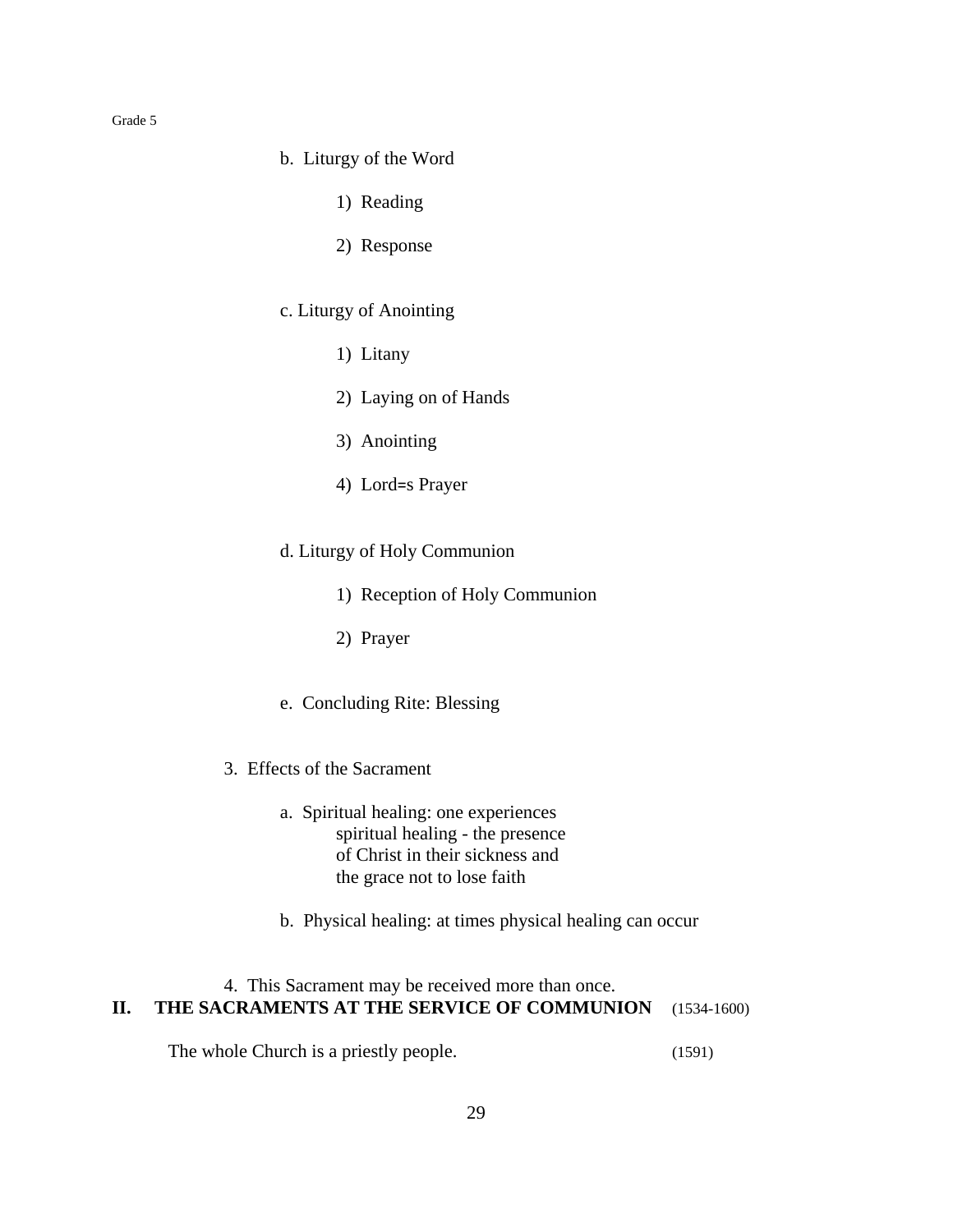- b. Liturgy of the Word
	- 1) Reading
	- 2) Response
- c. Liturgy of Anointing
	- 1) Litany
	- 2) Laying on of Hands
	- 3) Anointing
	- 4) Lord=s Prayer
- d. Liturgy of Holy Communion
	- 1) Reception of Holy Communion
	- 2) Prayer
- e. Concluding Rite: Blessing
- 3. Effects of the Sacrament
	- a. Spiritual healing: one experiences spiritual healing - the presence of Christ in their sickness and the grace not to lose faith
	- b. Physical healing: at times physical healing can occur

## 4. This Sacrament may be received more than once. **II. THE SACRAMENTS AT THE SERVICE OF COMMUNION** (1534-1600)

The whole Church is a priestly people. (1591)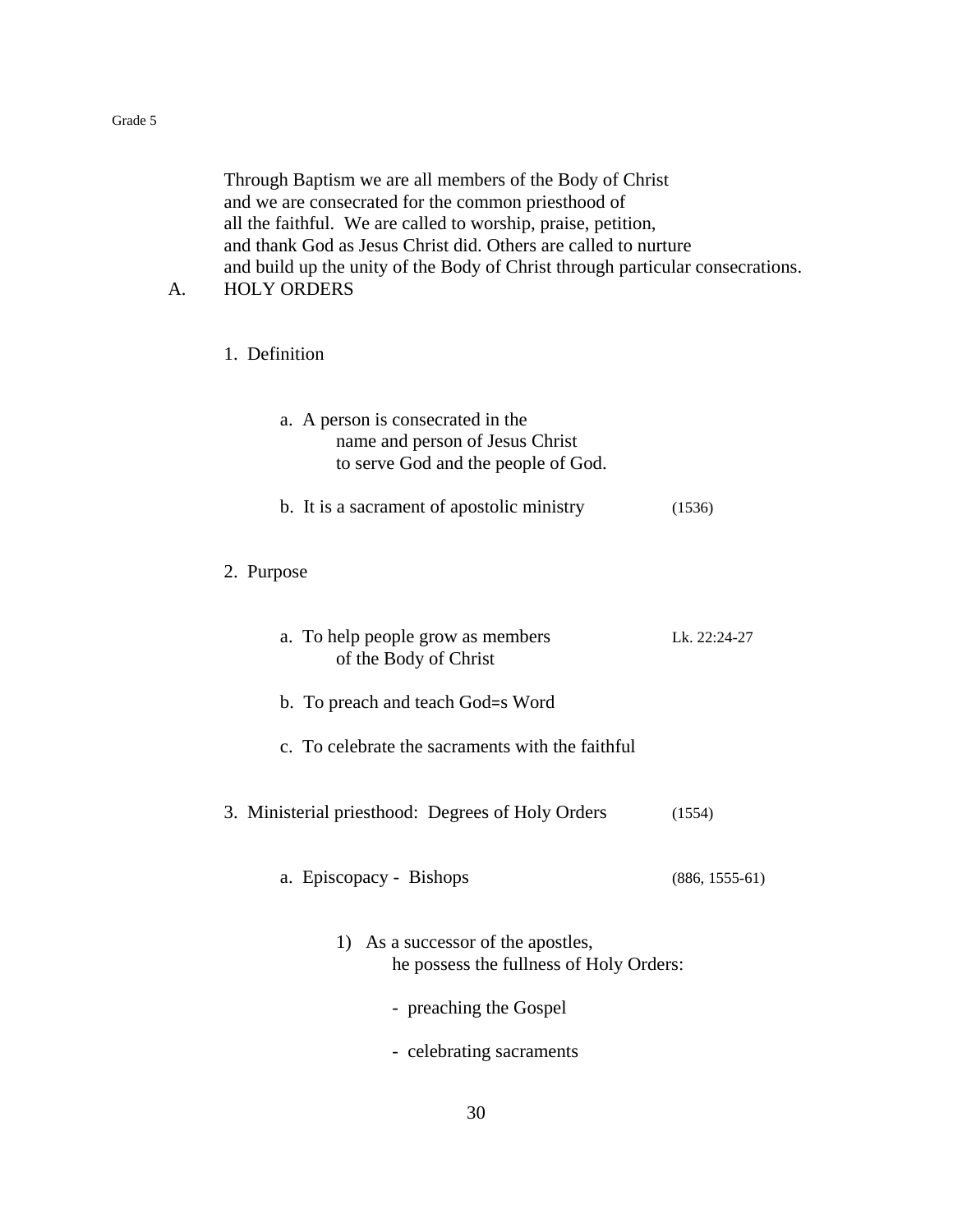Through Baptism we are all members of the Body of Christ and we are consecrated for the common priesthood of all the faithful. We are called to worship, praise, petition, and thank God as Jesus Christ did. Others are called to nurture and build up the unity of the Body of Christ through particular consecrations. A. HOLY ORDERS

1. Definition

| a. A person is consecrated in the<br>name and person of Jesus Christ<br>to serve God and the people of God. |                  |
|-------------------------------------------------------------------------------------------------------------|------------------|
| b. It is a sacrament of apostolic ministry                                                                  | (1536)           |
| 2. Purpose                                                                                                  |                  |
| a. To help people grow as members<br>of the Body of Christ                                                  | Lk. 22:24-27     |
| b. To preach and teach God=s Word                                                                           |                  |
| c. To celebrate the sacraments with the faithful                                                            |                  |
| 3. Ministerial priesthood: Degrees of Holy Orders                                                           | (1554)           |
| a. Episcopacy - Bishops                                                                                     | $(886, 1555-61)$ |
| 1) As a successor of the apostles,<br>he possess the fullness of Holy Orders:                               |                  |
| - preaching the Gospel                                                                                      |                  |
| - celebrating sacraments                                                                                    |                  |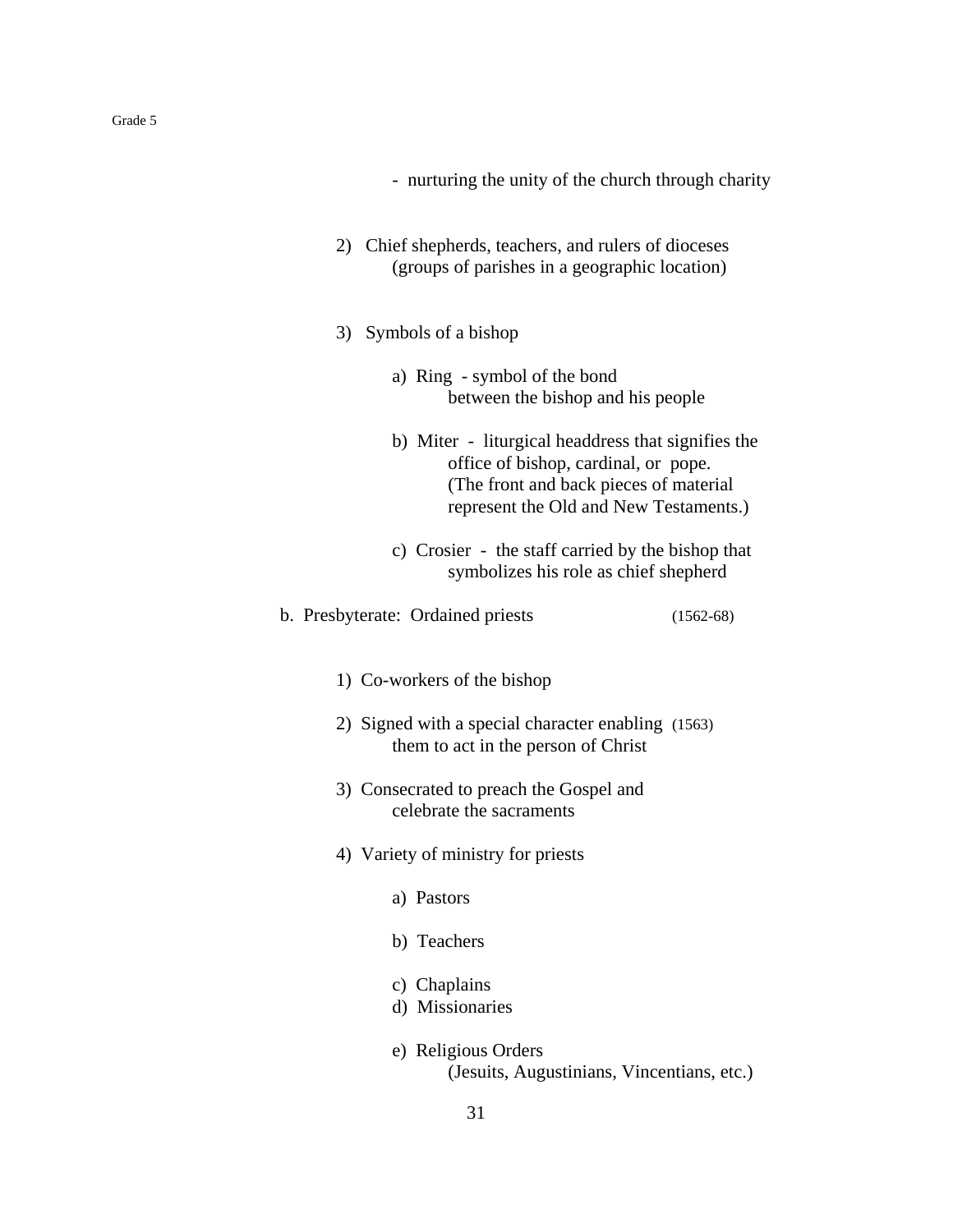- nurturing the unity of the church through charity
- 2) Chief shepherds, teachers, and rulers of dioceses (groups of parishes in a geographic location)
- 3) Symbols of a bishop
	- a) Ring symbol of the bond between the bishop and his people
	- b) Miter liturgical headdress that signifies the office of bishop, cardinal, or pope. (The front and back pieces of material represent the Old and New Testaments.)
	- c) Crosier the staff carried by the bishop that symbolizes his role as chief shepherd
- b. Presbyterate: Ordained priests (1562-68)
	- 1) Co-workers of the bishop
	- 2) Signed with a special character enabling (1563) them to act in the person of Christ
	- 3) Consecrated to preach the Gospel and celebrate the sacraments
	- 4) Variety of ministry for priests
		- a) Pastors
		- b) Teachers
		- c) Chaplains
		- d) Missionaries
		- e) Religious Orders (Jesuits, Augustinians, Vincentians, etc.)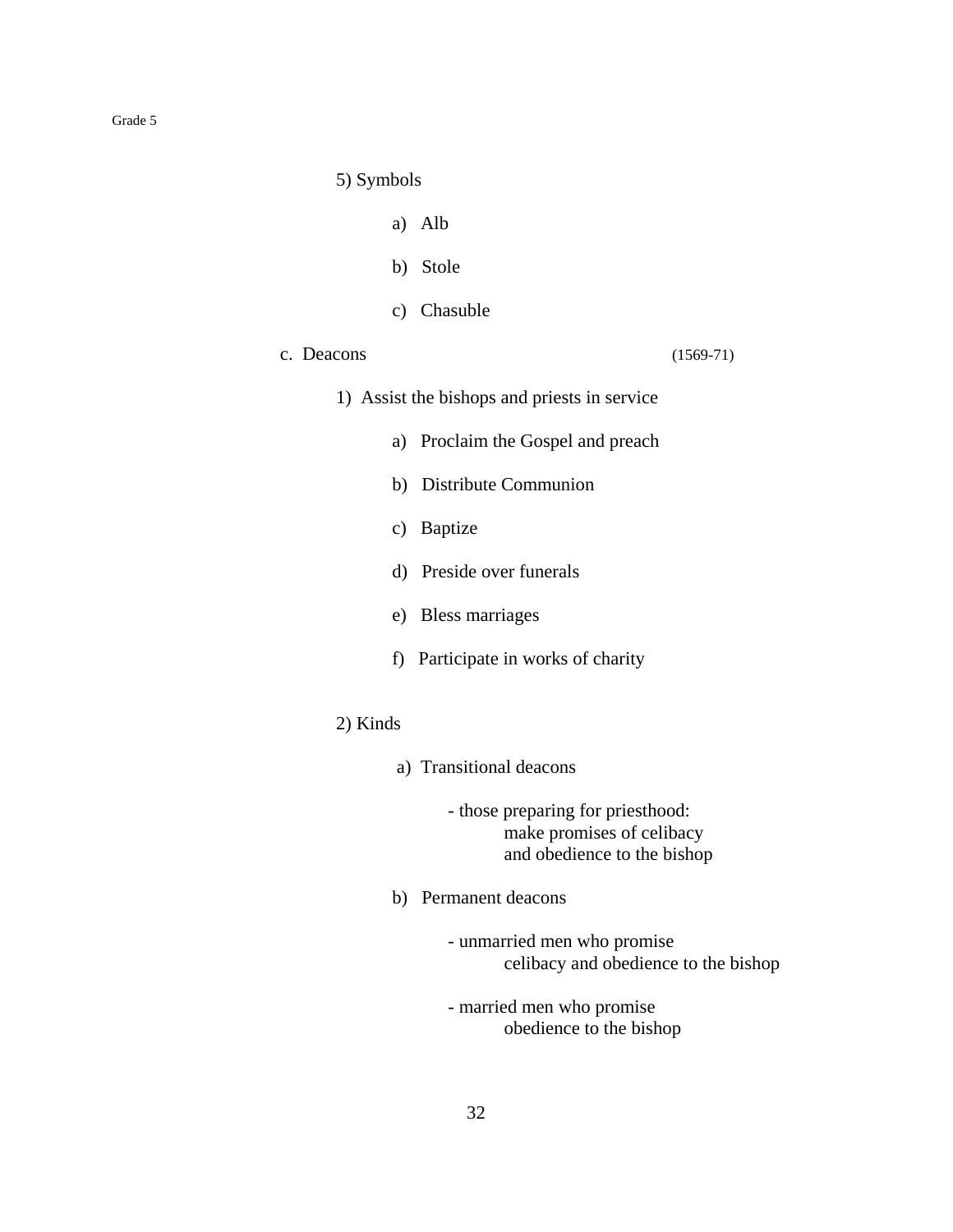5) Symbols

- a) Alb
- b) Stole
- c) Chasuble
- c. Deacons (1569-71)

- 1) Assist the bishops and priests in service
	- a) Proclaim the Gospel and preach
	- b) Distribute Communion
	- c) Baptize
	- d) Preside over funerals
	- e) Bless marriages
	- f) Participate in works of charity
- 2) Kinds
	- a) Transitional deacons
		- those preparing for priesthood: make promises of celibacy and obedience to the bishop
	- b) Permanent deacons
		- unmarried men who promise celibacy and obedience to the bishop
		- married men who promise obedience to the bishop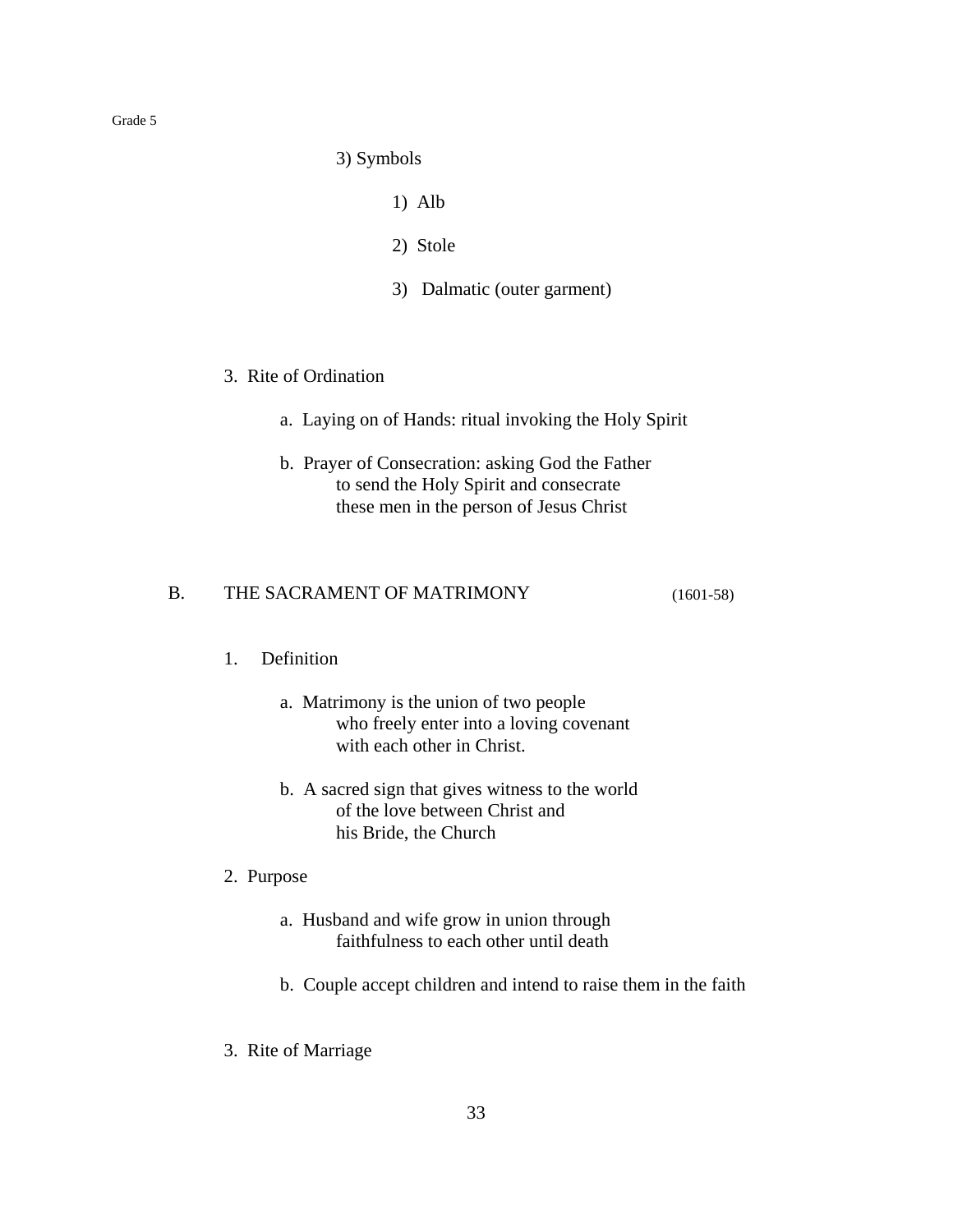3) Symbols

- 1) Alb
- 2) Stole
- 3) Dalmatic (outer garment)
- 3. Rite of Ordination
	- a. Laying on of Hands: ritual invoking the Holy Spirit
	- b. Prayer of Consecration: asking God the Father to send the Holy Spirit and consecrate these men in the person of Jesus Christ

## B. THE SACRAMENT OF MATRIMONY (1601-58)

## 1. Definition

- a. Matrimony is the union of two people who freely enter into a loving covenant with each other in Christ.
- b. A sacred sign that gives witness to the world of the love between Christ and his Bride, the Church
- 2. Purpose
	- a. Husband and wife grow in union through faithfulness to each other until death
	- b. Couple accept children and intend to raise them in the faith
- 3. Rite of Marriage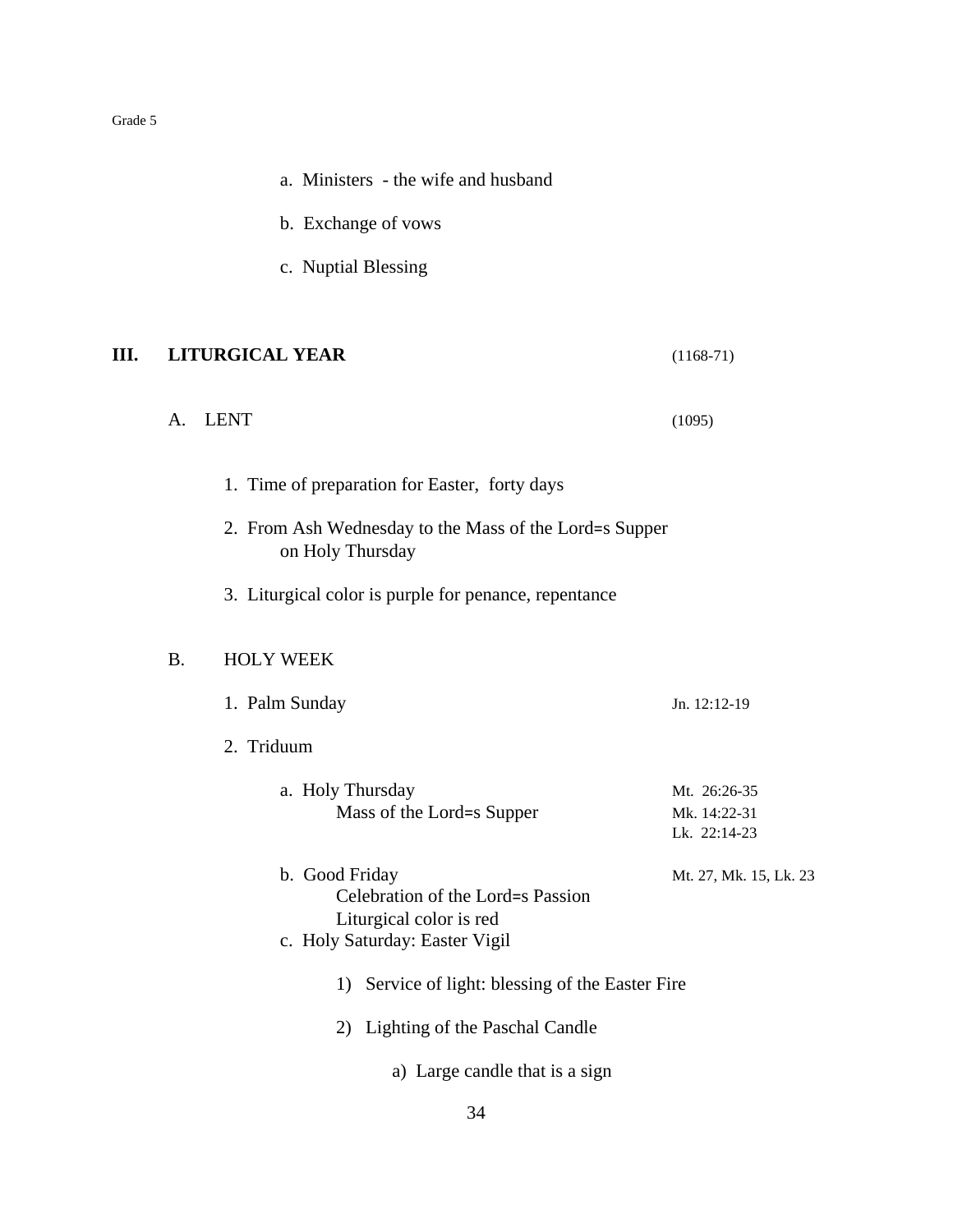|      | a. Ministers - the wife and husband                                                                              |                                              |
|------|------------------------------------------------------------------------------------------------------------------|----------------------------------------------|
|      | b. Exchange of vows                                                                                              |                                              |
|      | c. Nuptial Blessing                                                                                              |                                              |
| III. | <b>LITURGICAL YEAR</b>                                                                                           | $(1168-71)$                                  |
|      | <b>LENT</b><br>A.                                                                                                | (1095)                                       |
|      | 1. Time of preparation for Easter, forty days                                                                    |                                              |
|      | 2. From Ash Wednesday to the Mass of the Lord=s Supper<br>on Holy Thursday                                       |                                              |
|      | 3. Liturgical color is purple for penance, repentance                                                            |                                              |
|      | <b>B.</b><br><b>HOLY WEEK</b>                                                                                    |                                              |
|      | 1. Palm Sunday                                                                                                   | Jn. 12:12-19                                 |
|      | 2. Triduum                                                                                                       |                                              |
|      | a. Holy Thursday<br>Mass of the Lord=s Supper                                                                    | Mt. 26:26-35<br>Mk. 14:22-31<br>Lk. 22:14-23 |
|      | b. Good Friday<br>Celebration of the Lord=s Passion<br>Liturgical color is red<br>c. Holy Saturday: Easter Vigil | Mt. 27, Mk. 15, Lk. 23                       |
|      | Service of light: blessing of the Easter Fire<br>1)                                                              |                                              |
|      | Lighting of the Paschal Candle<br>2)                                                                             |                                              |
|      | a) Large candle that is a sign                                                                                   |                                              |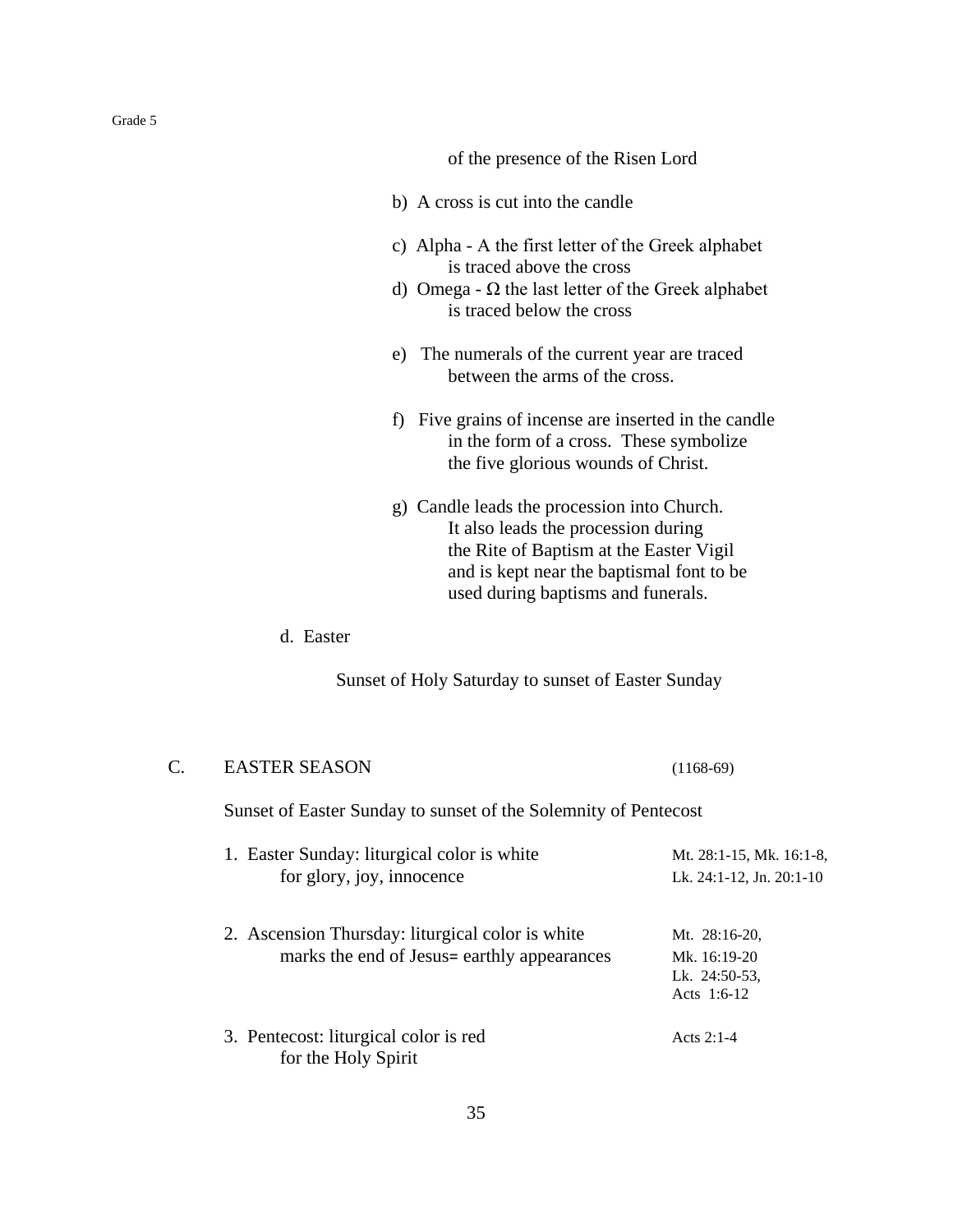of the presence of the Risen Lord

- b) A cross is cut into the candle
- c) Alpha Α the first letter of the Greek alphabet is traced above the cross
- d) Omega  $\Omega$  the last letter of the Greek alphabet is traced below the cross
- e) The numerals of the current year are traced between the arms of the cross.
- f) Five grains of incense are inserted in the candle in the form of a cross. These symbolize the five glorious wounds of Christ.
- g) Candle leads the procession into Church. It also leads the procession during the Rite of Baptism at the Easter Vigil and is kept near the baptismal font to be used during baptisms and funerals.

## d. Easter

Sunset of Holy Saturday to sunset of Easter Sunday

| C. | <b>EASTER SEASON</b>                                                                            | $(1168-69)$                                                       |
|----|-------------------------------------------------------------------------------------------------|-------------------------------------------------------------------|
|    | Sunset of Easter Sunday to sunset of the Solemnity of Pentecost                                 |                                                                   |
|    | 1. Easter Sunday: liturgical color is white<br>for glory, joy, innocence                        | Mt. 28:1-15, Mk. 16:1-8,<br>Lk. 24:1-12, Jn. 20:1-10              |
|    | 2. Ascension Thursday: liturgical color is white<br>marks the end of Jesus= earthly appearances | Mt. 28:16-20,<br>Mk. $16:19-20$<br>Lk. 24:50-53.<br>Acts $1:6-12$ |
|    | 3. Pentecost: liturgical color is red<br>for the Holy Spirit                                    | Acts $2:1-4$                                                      |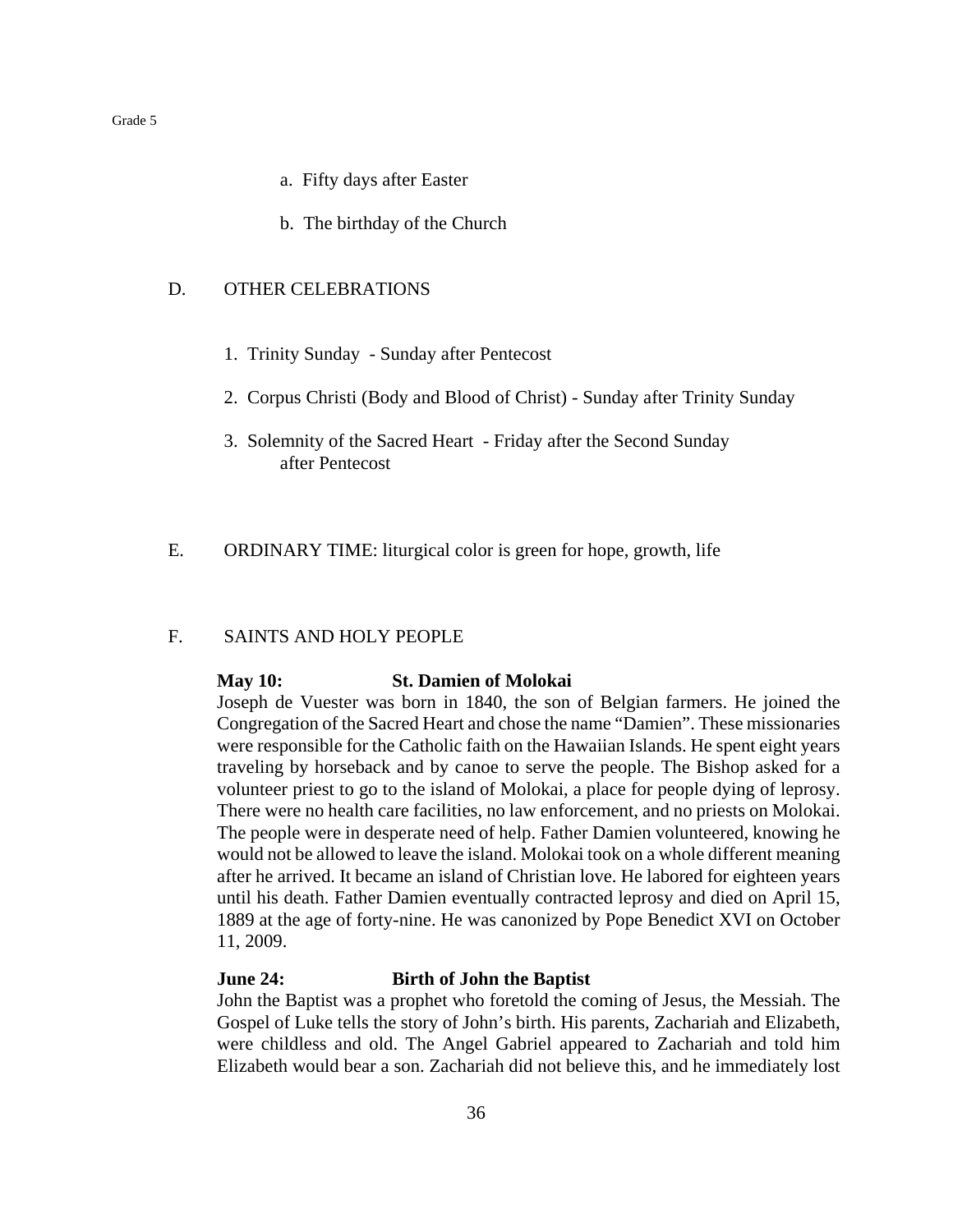- a. Fifty days after Easter
- b. The birthday of the Church

#### D. OTHER CELEBRATIONS

- 1. Trinity Sunday Sunday after Pentecost
- 2. Corpus Christi (Body and Blood of Christ) Sunday after Trinity Sunday
- 3. Solemnity of the Sacred Heart Friday after the Second Sunday after Pentecost
- E. ORDINARY TIME: liturgical color is green for hope, growth, life

## F. SAINTS AND HOLY PEOPLE

#### **May 10: St. Damien of Molokai**

Joseph de Vuester was born in 1840, the son of Belgian farmers. He joined the Congregation of the Sacred Heart and chose the name "Damien". These missionaries were responsible for the Catholic faith on the Hawaiian Islands. He spent eight years traveling by horseback and by canoe to serve the people. The Bishop asked for a volunteer priest to go to the island of Molokai, a place for people dying of leprosy. There were no health care facilities, no law enforcement, and no priests on Molokai. The people were in desperate need of help. Father Damien volunteered, knowing he would not be allowed to leave the island. Molokai took on a whole different meaning after he arrived. It became an island of Christian love. He labored for eighteen years until his death. Father Damien eventually contracted leprosy and died on April 15, 1889 at the age of forty-nine. He was canonized by Pope Benedict XVI on October 11, 2009.

#### **June 24: Birth of John the Baptist**

John the Baptist was a prophet who foretold the coming of Jesus, the Messiah. The Gospel of Luke tells the story of John's birth. His parents, Zachariah and Elizabeth, were childless and old. The Angel Gabriel appeared to Zachariah and told him Elizabeth would bear a son. Zachariah did not believe this, and he immediately lost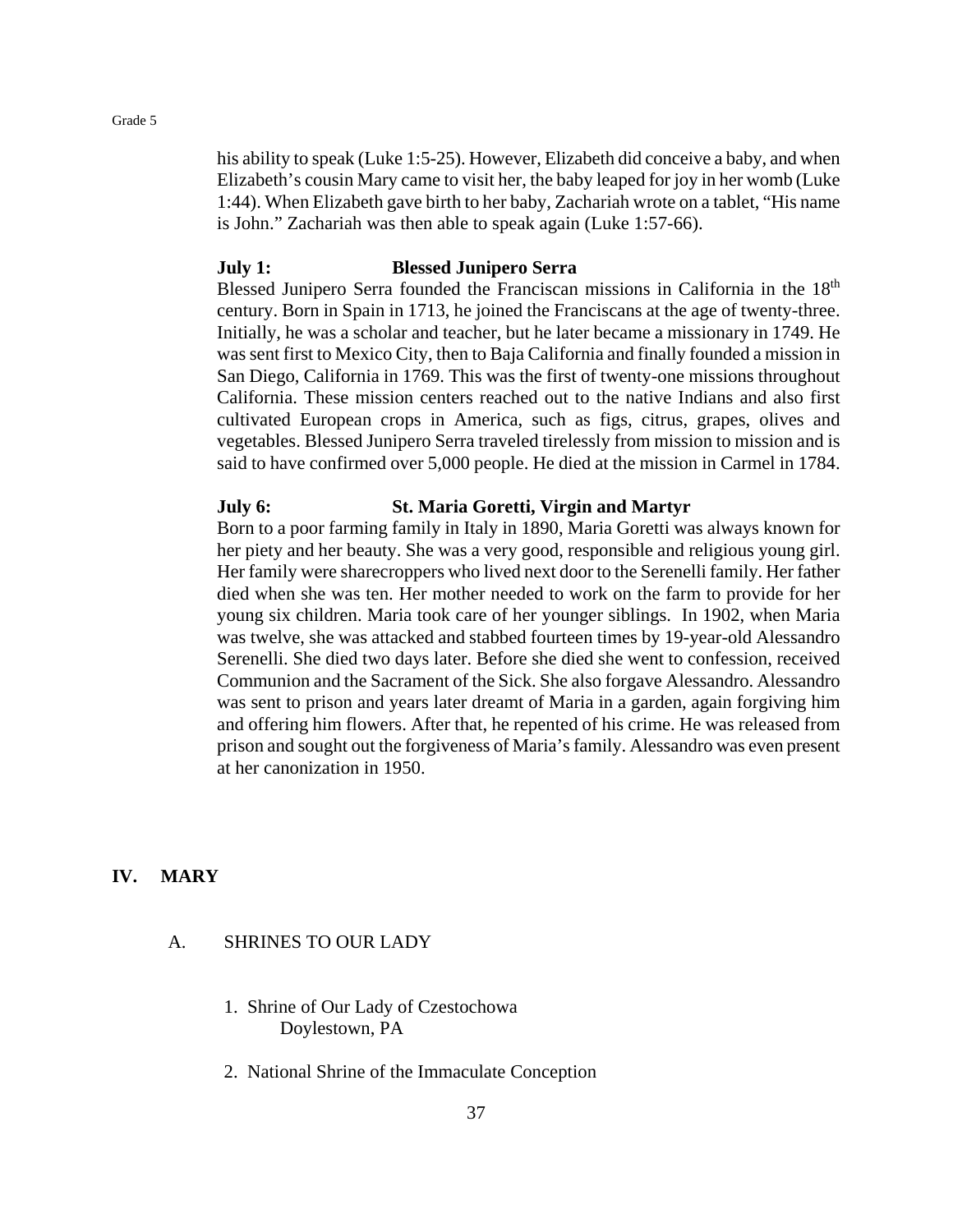his ability to speak (Luke 1:5-25). However, Elizabeth did conceive a baby, and when Elizabeth's cousin Mary came to visit her, the baby leaped for joy in her womb (Luke 1:44). When Elizabeth gave birth to her baby, Zachariah wrote on a tablet, "His name is John." Zachariah was then able to speak again (Luke 1:57-66).

## **July 1: Blessed Junipero Serra**

Blessed Junipero Serra founded the Franciscan missions in California in the 18<sup>th</sup> century. Born in Spain in 1713, he joined the Franciscans at the age of twenty-three. Initially, he was a scholar and teacher, but he later became a missionary in 1749. He was sent first to Mexico City, then to Baja California and finally founded a mission in San Diego, California in 1769. This was the first of twenty-one missions throughout California. These mission centers reached out to the native Indians and also first cultivated European crops in America, such as figs, citrus, grapes, olives and vegetables. Blessed Junipero Serra traveled tirelessly from mission to mission and is said to have confirmed over 5,000 people. He died at the mission in Carmel in 1784.

## **July 6: St. Maria Goretti, Virgin and Martyr**

Born to a poor farming family in Italy in 1890, Maria Goretti was always known for her piety and her beauty. She was a very good, responsible and religious young girl. Her family were sharecroppers who lived next door to the Serenelli family. Her father died when she was ten. Her mother needed to work on the farm to provide for her young six children. Maria took care of her younger siblings. In 1902, when Maria was twelve, she was attacked and stabbed fourteen times by 19-year-old Alessandro Serenelli. She died two days later. Before she died she went to confession, received Communion and the Sacrament of the Sick. She also forgave Alessandro. Alessandro was sent to prison and years later dreamt of Maria in a garden, again forgiving him and offering him flowers. After that, he repented of his crime. He was released from prison and sought out the forgiveness of Maria's family. Alessandro was even present at her canonization in 1950.

## **IV. MARY**

## A. SHRINES TO OUR LADY

- 1. Shrine of Our Lady of Czestochowa Doylestown, PA
- 2. National Shrine of the Immaculate Conception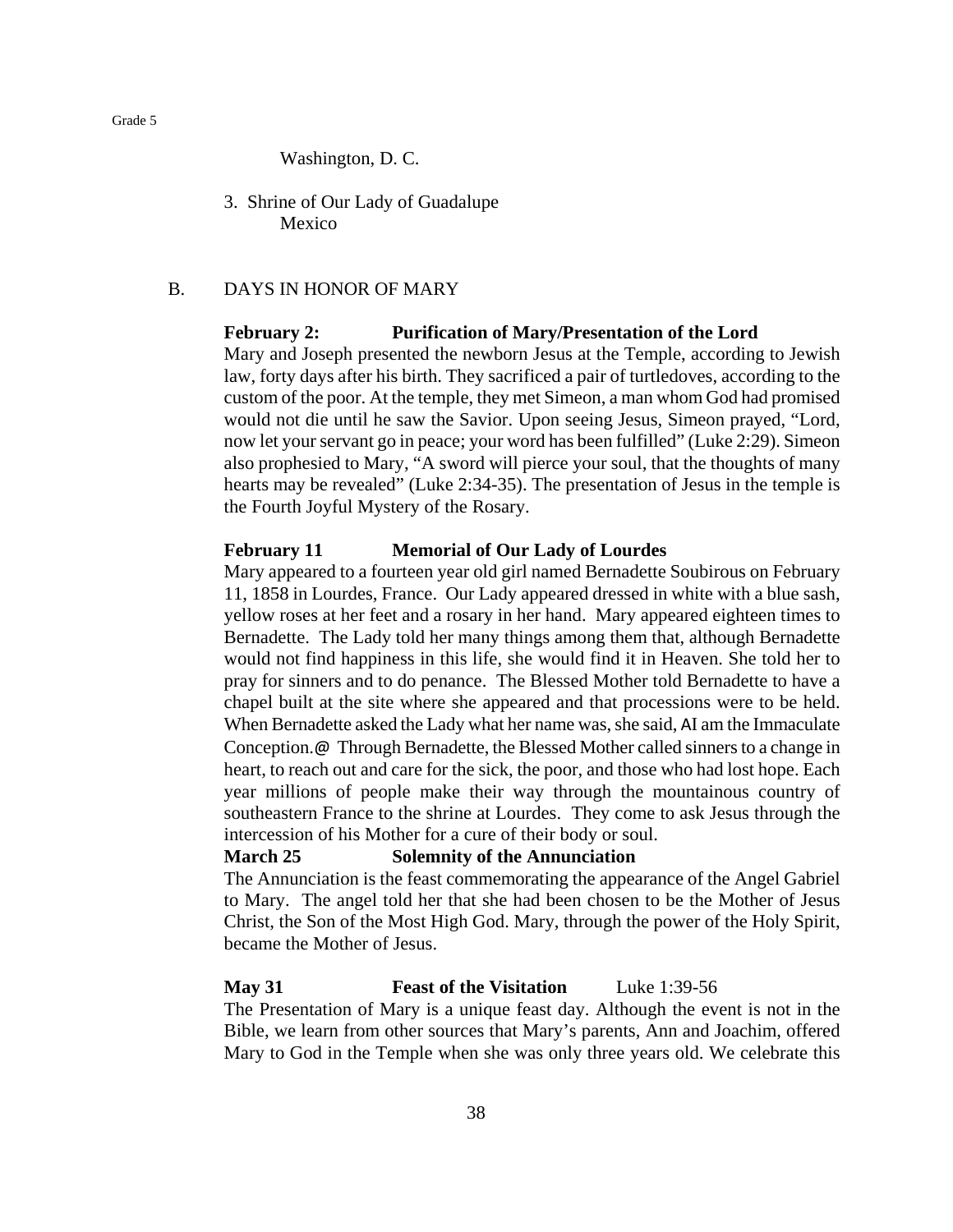Washington, D. C.

3. Shrine of Our Lady of Guadalupe Mexico

## B. DAYS IN HONOR OF MARY

## **February 2: Purification of Mary/Presentation of the Lord**

Mary and Joseph presented the newborn Jesus at the Temple, according to Jewish law, forty days after his birth. They sacrificed a pair of turtledoves, according to the custom of the poor. At the temple, they met Simeon, a man whom God had promised would not die until he saw the Savior. Upon seeing Jesus, Simeon prayed, "Lord, now let your servant go in peace; your word has been fulfilled" (Luke 2:29). Simeon also prophesied to Mary, "A sword will pierce your soul, that the thoughts of many hearts may be revealed" (Luke 2:34-35). The presentation of Jesus in the temple is the Fourth Joyful Mystery of the Rosary.

## **February 11 Memorial of Our Lady of Lourdes**

Mary appeared to a fourteen year old girl named Bernadette Soubirous on February 11, 1858 in Lourdes, France. Our Lady appeared dressed in white with a blue sash, yellow roses at her feet and a rosary in her hand. Mary appeared eighteen times to Bernadette. The Lady told her many things among them that, although Bernadette would not find happiness in this life, she would find it in Heaven. She told her to pray for sinners and to do penance. The Blessed Mother told Bernadette to have a chapel built at the site where she appeared and that processions were to be held. When Bernadette asked the Lady what her name was, she said, AI am the Immaculate Conception.@ Through Bernadette, the Blessed Mother called sinners to a change in heart, to reach out and care for the sick, the poor, and those who had lost hope. Each year millions of people make their way through the mountainous country of southeastern France to the shrine at Lourdes. They come to ask Jesus through the intercession of his Mother for a cure of their body or soul.

## **March 25 Solemnity of the Annunciation**

The Annunciation is the feast commemorating the appearance of the Angel Gabriel to Mary. The angel told her that she had been chosen to be the Mother of Jesus Christ, the Son of the Most High God. Mary, through the power of the Holy Spirit, became the Mother of Jesus.

## **May 31 Feast of the Visitation** Luke 1:39-56

The Presentation of Mary is a unique feast day. Although the event is not in the Bible, we learn from other sources that Mary's parents, Ann and Joachim, offered Mary to God in the Temple when she was only three years old. We celebrate this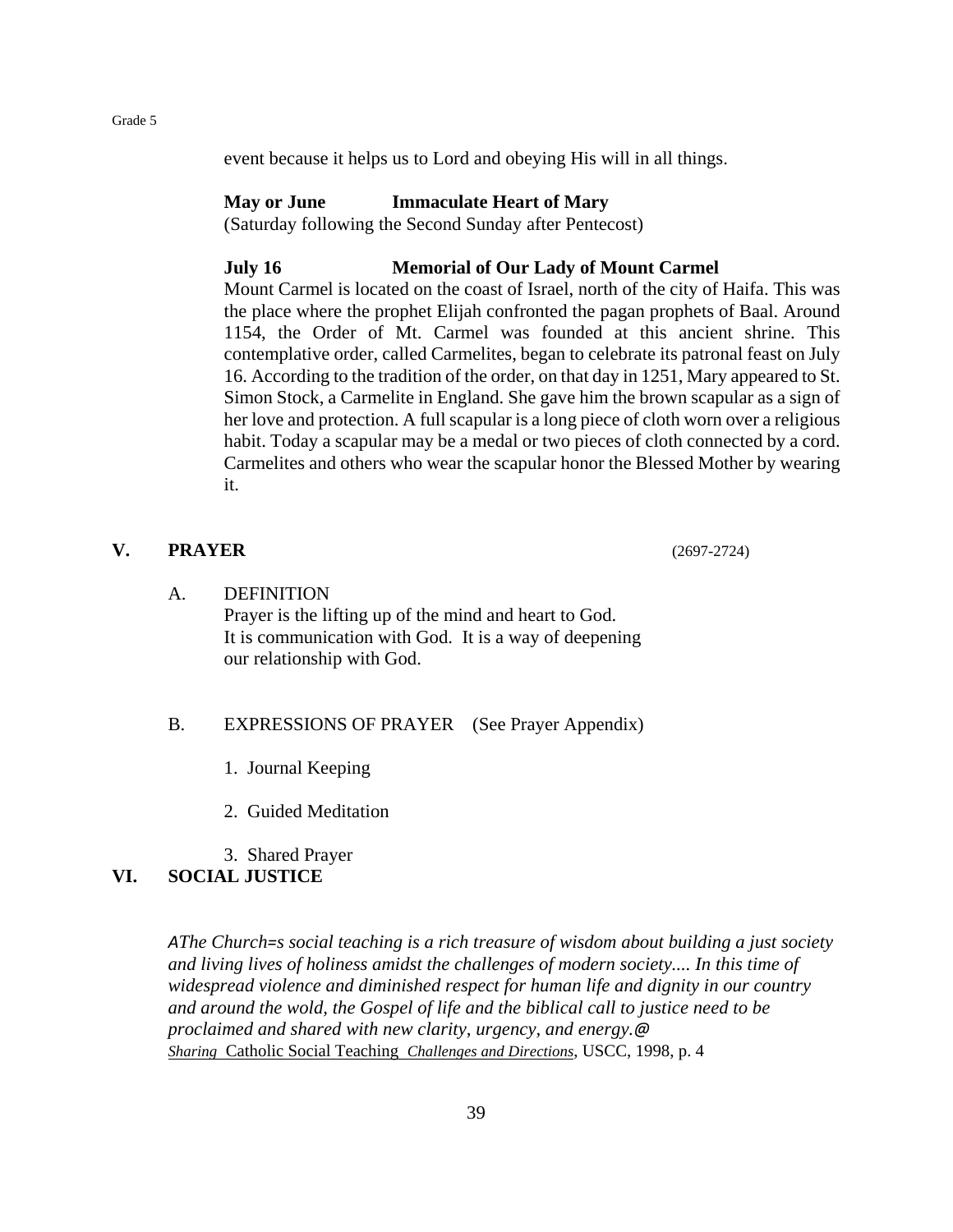event because it helps us to Lord and obeying His will in all things.

## **May or June Immaculate Heart of Mary**

(Saturday following the Second Sunday after Pentecost)

## **July 16 Memorial of Our Lady of Mount Carmel**

Mount Carmel is located on the coast of Israel, north of the city of Haifa. This was the place where the prophet Elijah confronted the pagan prophets of Baal. Around 1154, the Order of Mt. Carmel was founded at this ancient shrine. This contemplative order, called Carmelites, began to celebrate its patronal feast on July 16. According to the tradition of the order, on that day in 1251, Mary appeared to St. Simon Stock, a Carmelite in England. She gave him the brown scapular as a sign of her love and protection. A full scapular is a long piece of cloth worn over a religious habit. Today a scapular may be a medal or two pieces of cloth connected by a cord. Carmelites and others who wear the scapular honor the Blessed Mother by wearing it.

## **V. PRAYER** (2697-2724)

## A. DEFINITION

Prayer is the lifting up of the mind and heart to God. It is communication with God. It is a way of deepening our relationship with God.

## B. EXPRESSIONS OF PRAYER (See Prayer Appendix)

1. Journal Keeping

2. Guided Meditation

3. Shared Prayer

## **VI. SOCIAL JUSTICE**

*AThe Church=s social teaching is a rich treasure of wisdom about building a just society and living lives of holiness amidst the challenges of modern society.... In this time of widespread violence and diminished respect for human life and dignity in our country and around the wold, the Gospel of life and the biblical call to justice need to be proclaimed and shared with new clarity, urgency, and energy.@ Sharing* Catholic Social Teaching *Challenges and Directions*, USCC, 1998, p. 4